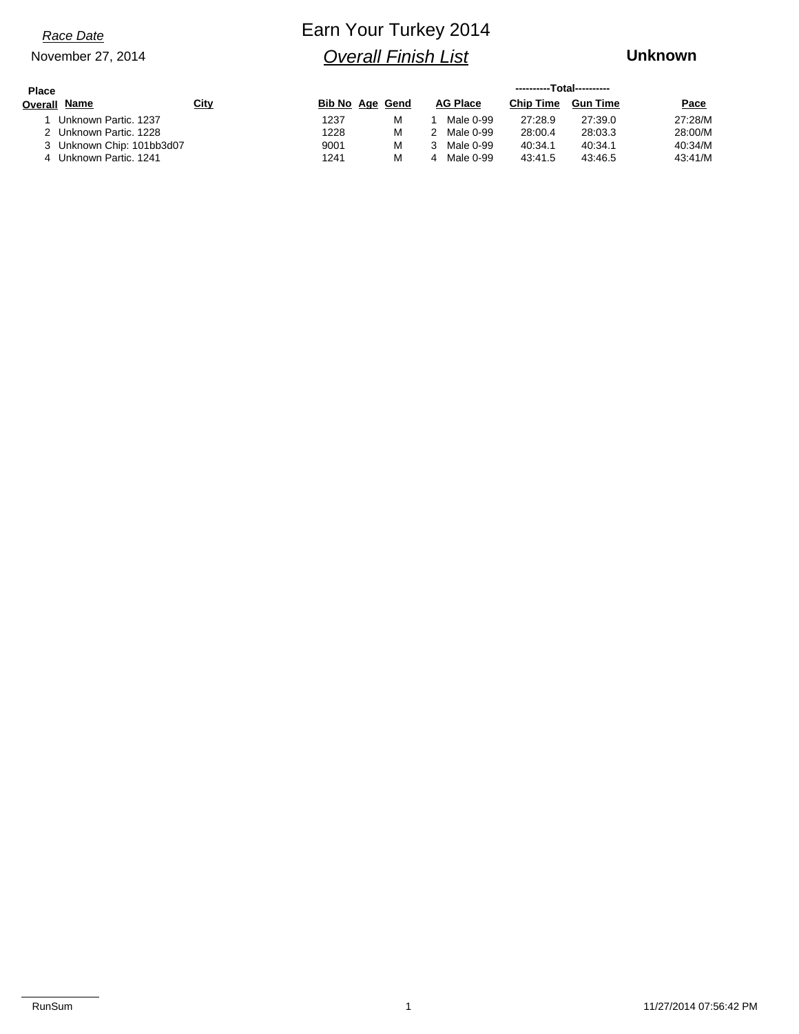November 27, 2014

# Earn Your Turkey 2014 *Overall Finish List*

### **Unknown**

| Place |                           |             |                        | ----------Total---------- |                 |                  |                 |         |  |  |  |
|-------|---------------------------|-------------|------------------------|---------------------------|-----------------|------------------|-----------------|---------|--|--|--|
|       | Overall Name              | <b>City</b> | <b>Bib No Age Gend</b> |                           | <b>AG Place</b> | <b>Chip Time</b> | <b>Gun Time</b> | Pace    |  |  |  |
|       | Unknown Partic, 1237      |             | 1237                   |                           | Male 0-99       | 27:28.9          | 27:39.0         | 27:28/M |  |  |  |
|       | 2 Unknown Partic, 1228    |             | 1228                   |                           | Male 0-99       | 28:00.4          | 28:03.3         | 28:00/M |  |  |  |
|       | 3 Unknown Chip: 101bb3d07 |             | 9001                   |                           | Male 0-99<br>3  | 40:34.1          | 40:34.1         | 40:34/M |  |  |  |
|       | 4 Unknown Partic, 1241    |             | 1241                   |                           | Male 0-99<br>4  | 43:41.5          | 43:46.5         | 43:41/M |  |  |  |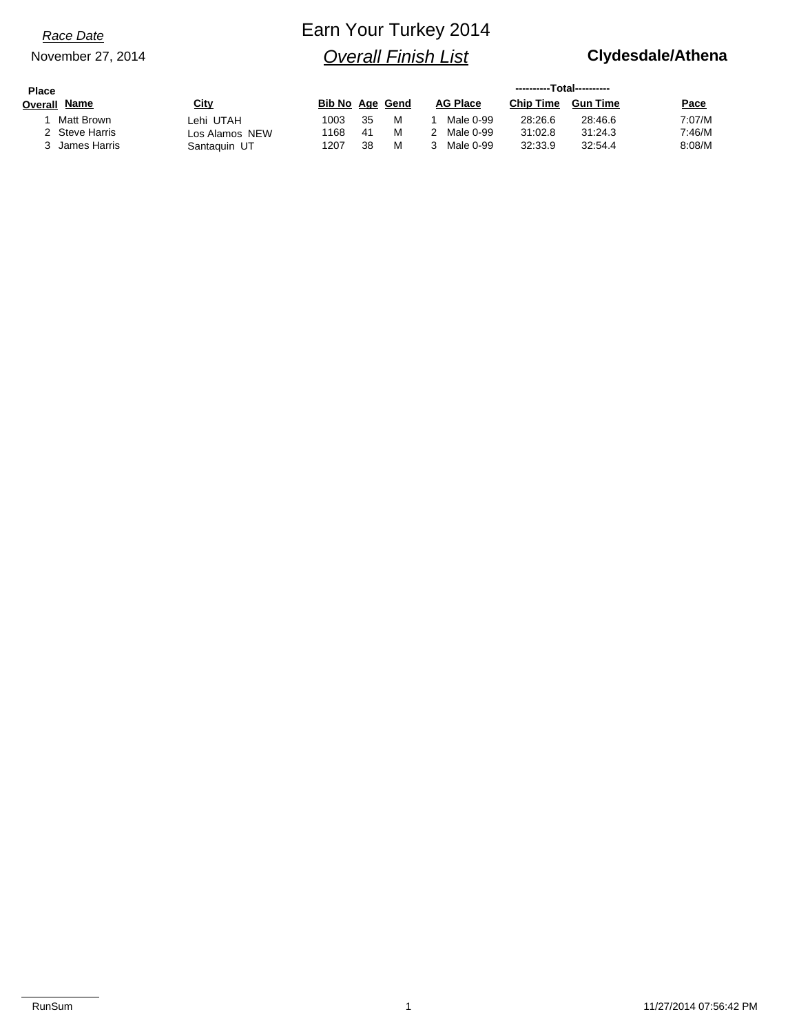November 27, 2014

# Earn Your Turkey 2014 *Overall Finish List*



| <b>Place</b>   |                | ----------Total---------- |    |   |  |                 |                  |                 |             |  |
|----------------|----------------|---------------------------|----|---|--|-----------------|------------------|-----------------|-------------|--|
| Overall Name   | <u>City</u>    | Bib No Age Gend           |    |   |  | <b>AG Place</b> | <b>Chip Time</b> | <b>Gun Time</b> | <u>Pace</u> |  |
| Matt Brown     | Lehi UTAH      | 1003                      | 35 | M |  | Male 0-99       | 28:26.6          | 28:46.6         | 7:07/M      |  |
| 2 Steve Harris | Los Alamos NEW | ' 168                     | 41 |   |  | Male 0-99       | 31:02.8          | 31:24.3         | 7:46/M      |  |
| James Harris   | Santaquin UT   | 1207                      | 38 | М |  | Male 0-99       | 32:33.9          | 32:54.4         | 8:08/M      |  |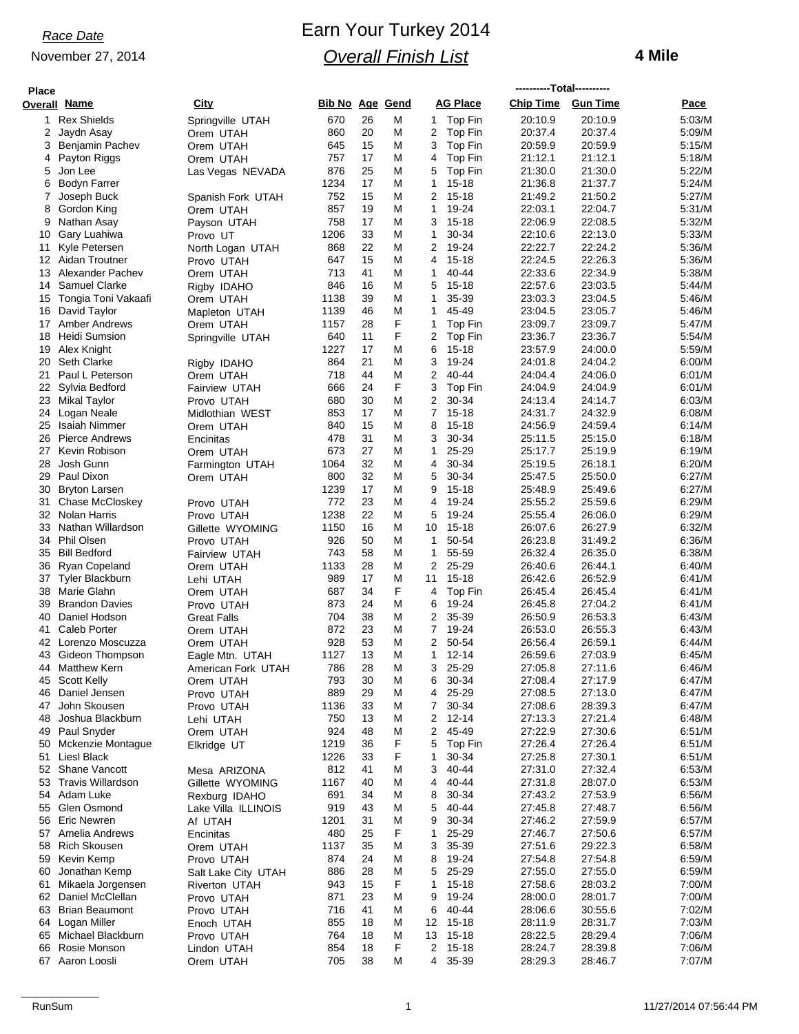November 27, 2014

## Earn Your Turkey 2014 *Overall Finish List*

| <b>Place</b> |                                        |                                             |                        |          |        |                |                        | ----------Total---------- |                    |                  |
|--------------|----------------------------------------|---------------------------------------------|------------------------|----------|--------|----------------|------------------------|---------------------------|--------------------|------------------|
|              | Overall Name                           | City                                        | <b>Bib No Age Gend</b> |          |        |                | <b>AG Place</b>        | <b>Chip Time</b>          | <b>Gun Time</b>    | Pace             |
| 1            | <b>Rex Shields</b>                     | Springville UTAH                            | 670                    | 26       | M      |                | 1 Top Fin              | 20:10.9                   | 20:10.9            | 5:03/M           |
| 2            | Jaydn Asay                             | Orem UTAH                                   | 860                    | 20       | Μ      | 2              | Top Fin                | 20:37.4                   | 20:37.4            | 5:09/M           |
| 3            | Benjamin Pachev                        | Orem UTAH                                   | 645                    | 15       | Μ      | 3              | Top Fin                | 20:59.9                   | 20:59.9            | 5:15/M           |
| 4            | Payton Riggs                           | Orem UTAH                                   | 757                    | 17       | Μ      | 4              | Top Fin                | 21:12.1                   | 21:12.1            | 5:18/M           |
| 5            | Jon Lee                                | Las Vegas NEVADA                            | 876                    | 25       | Μ      | 5              | Top Fin                | 21:30.0                   | 21:30.0            | 5:22/M           |
| 6<br>7       | <b>Bodyn Farrer</b>                    |                                             | 1234<br>752            | 17<br>15 | Μ<br>M | 1<br>2         | 15-18<br>15-18         | 21:36.8<br>21:49.2        | 21:37.7<br>21:50.2 | 5:24/M<br>5:27/M |
| 8            | Joseph Buck<br>Gordon King             | Spanish Fork UTAH<br>Orem UTAH              | 857                    | 19       | Μ      | 1              | 19-24                  | 22:03.1                   | 22:04.7            | 5:31/M           |
| 9            | Nathan Asay                            | Payson UTAH                                 | 758                    | 17       | M      | 3              | $15 - 18$              | 22:06.9                   | 22:08.5            | 5:32/M           |
| 10           | Gary Luahiwa                           | Provo UT                                    | 1206                   | 33       | Μ      | 1              | 30-34                  | 22:10.6                   | 22:13.0            | 5:33/M           |
| 11           | Kyle Petersen                          | North Logan UTAH                            | 868                    | 22       | М      | 2              | 19-24                  | 22:22.7                   | 22:24.2            | 5:36/M           |
|              | 12 Aidan Troutner                      | Provo UTAH                                  | 647                    | 15       | M      | 4              | $15 - 18$              | 22:24.5                   | 22:26.3            | 5:36/M           |
| 13           | Alexander Pachev                       | Orem UTAH                                   | 713                    | 41       | M      | 1              | 40-44                  | 22:33.6                   | 22:34.9            | 5:38/M           |
| 14           | <b>Samuel Clarke</b>                   | Rigby IDAHO                                 | 846                    | 16       | Μ      | 5              | 15-18                  | 22:57.6                   | 23:03.5            | 5:44/M           |
| 15<br>16     | Tongia Toni Vakaafi<br>David Taylor    | Orem UTAH                                   | 1138<br>1139           | 39<br>46 | Μ<br>Μ | 1<br>1         | 35-39<br>45-49         | 23:03.3<br>23:04.5        | 23:04.5<br>23:05.7 | 5:46/M<br>5:46/M |
| 17           | <b>Amber Andrews</b>                   | Mapleton UTAH<br>Orem UTAH                  | 1157                   | 28       | F      | 1              | Top Fin                | 23:09.7                   | 23:09.7            | 5:47/M           |
| 18           | Heidi Sumsion                          | Springville UTAH                            | 640                    | 11       | F      | 2              | Top Fin                | 23:36.7                   | 23:36.7            | 5:54/M           |
| 19           | Alex Knight                            |                                             | 1227                   | 17       | Μ      | 6              | 15-18                  | 23:57.9                   | 24:00.0            | 5:59/M           |
| 20           | <b>Seth Clarke</b>                     | Rigby IDAHO                                 | 864                    | 21       | M      | 3              | 19-24                  | 24:01.8                   | 24:04.2            | 6:00/M           |
| 21           | Paul L Peterson                        | Orem UTAH                                   | 718                    | 44       | M      | 2              | 40-44                  | 24:04.4                   | 24:06.0            | 6:01/M           |
|              | 22 Sylvia Bedford                      | <b>Fairview UTAH</b>                        | 666                    | 24       | F      | 3              | Top Fin                | 24:04.9                   | 24:04.9            | 6:01/M           |
| 23           | <b>Mikal Taylor</b>                    | Provo UTAH                                  | 680                    | 30       | M      | 2              | 30-34                  | 24:13.4                   | 24:14.7            | 6:03/M           |
| 24<br>25     | Logan Neale<br>Isaiah Nimmer           | Midlothian WEST                             | 853<br>840             | 17<br>15 | Μ<br>M | 7<br>8         | $15 - 18$<br>$15 - 18$ | 24:31.7                   | 24:32.9            | 6:08/M           |
| 26           | <b>Pierce Andrews</b>                  | Orem UTAH<br>Encinitas                      | 478                    | 31       | Μ      | 3              | 30-34                  | 24:56.9<br>25:11.5        | 24:59.4<br>25:15.0 | 6:14/M<br>6:18/M |
| 27           | Kevin Robison                          | Orem UTAH                                   | 673                    | 27       | М      | 1              | 25-29                  | 25:17.7                   | 25:19.9            | 6:19/M           |
| 28           | Josh Gunn                              | Farmington UTAH                             | 1064                   | 32       | Μ      | 4              | 30-34                  | 25:19.5                   | 26:18.1            | 6:20/M           |
| 29           | Paul Dixon                             | Orem UTAH                                   | 800                    | 32       | M      | 5              | 30-34                  | 25:47.5                   | 25:50.0            | 6:27/M           |
| 30           | <b>Bryton Larsen</b>                   |                                             | 1239                   | 17       | Μ      | 9              | 15-18                  | 25:48.9                   | 25:49.6            | 6:27/M           |
| 31           | Chase McCloskey                        | Provo UTAH                                  | 772                    | 23       | M      | 4              | 19-24                  | 25:55.2                   | 25:59.6            | 6:29/M           |
| 32           | Nolan Harris                           | Provo UTAH                                  | 1238                   | 22       | Μ      | 5              | 19-24                  | 25:55.4                   | 26:06.0            | 6:29/M           |
| 33<br>34     | Nathan Willardson<br><b>Phil Olsen</b> | Gillette WYOMING<br>Provo UTAH              | 1150<br>926            | 16<br>50 | M<br>Μ | 10<br>1        | $15 - 18$<br>50-54     | 26:07.6<br>26:23.8        | 26:27.9<br>31:49.2 | 6:32/M<br>6:36/M |
| 35           | <b>Bill Bedford</b>                    | <b>Fairview UTAH</b>                        | 743                    | 58       | М      | 1              | 55-59                  | 26:32.4                   | 26:35.0            | 6:38/M           |
| 36           | Ryan Copeland                          | Orem UTAH                                   | 1133                   | 28       | M      | $\overline{2}$ | 25-29                  | 26:40.6                   | 26:44.1            | 6:40/M           |
| 37           | <b>Tyler Blackburn</b>                 | Lehi UTAH                                   | 989                    | 17       | M      | 11             | $15 - 18$              | 26:42.6                   | 26:52.9            | 6:41/M           |
| 38           | Marie Glahn                            | Orem UTAH                                   | 687                    | 34       | F      | 4              | Top Fin                | 26:45.4                   | 26:45.4            | 6:41/M           |
| 39           | <b>Brandon Davies</b>                  | Provo UTAH                                  | 873                    | 24       | M      | 6              | 19-24                  | 26:45.8                   | 27:04.2            | 6:41/M           |
| 40           | Daniel Hodson                          | <b>Great Falls</b>                          | 704                    | 38       | Μ      | 2              | 35-39                  | 26:50.9                   | 26:53.3            | 6:43/M           |
| 41<br>42     | Caleb Porter<br>Lorenzo Moscuzza       | Orem UTAH                                   | 872                    | 23<br>53 | Μ<br>Μ | 7<br>2         | 19-24<br>50-54         | 26:53.0                   | 26:55.3            | 6:43/M           |
|              | 43 Gideon Thompson                     | Orem UTAH<br>Eagle Mtn. UTAH                | 928<br>1127            | 13       | М      | 1              | 12-14                  | 26:56.4<br>26:59.6        | 26:59.1<br>27:03.9 | 6:44/M<br>6:45/M |
|              | 44 Matthew Kern                        | American Fork UTAH                          | 786                    | 28       | M      | 3              | 25-29                  | 27:05.8                   | 27:11.6            | 6:46/M           |
| 45           | Scott Kelly                            | Orem UTAH                                   | 793                    | 30       | M      | 6              | 30-34                  | 27:08.4                   | 27:17.9            | 6:47/M           |
| 46           | Daniel Jensen                          | Provo UTAH                                  | 889                    | 29       | Μ      | 4              | 25-29                  | 27:08.5                   | 27:13.0            | 6:47/M           |
| 47           | John Skousen                           | Provo UTAH                                  | 1136                   | 33       | Μ      | 7              | 30-34                  | 27:08.6                   | 28:39.3            | 6:47/M           |
| 48           | Joshua Blackburn                       | Lehi UTAH                                   | 750                    | 13       | Μ      | 2              | $12 - 14$              | 27:13.3                   | 27:21.4            | 6:48/M           |
| 49           | Paul Snyder                            | Orem UTAH                                   | 924                    | 48       | Μ      | 2              | 45-49                  | 27:22.9                   | 27:30.6            | 6:51/M           |
| 50<br>51     | Mckenzie Montague<br>Liesl Black       | Elkridge UT                                 | 1219<br>1226           | 36<br>33 | F<br>F | 5<br>1         | Top Fin<br>30-34       | 27:26.4<br>27:25.8        | 27:26.4<br>27:30.1 | 6:51/M<br>6:51/M |
| 52           | Shane Vancott                          | Mesa ARIZONA                                | 812                    | 41       | Μ      | 3              | 40-44                  | 27:31.0                   | 27:32.4            | 6:53/M           |
| 53           | Travis Willardson                      | Gillette WYOMING                            | 1167                   | 40       | Μ      | 4              | 40-44                  | 27:31.8                   | 28:07.0            | 6:53/M           |
|              | 54 Adam Luke                           | Rexburg IDAHO                               | 691                    | 34       | M      | 8              | 30-34                  | 27:43.2                   | 27:53.9            | 6:56/M           |
| 55           | Glen Osmond                            | Lake Villa ILLINOIS                         | 919                    | 43       | Μ      | 5              | 40-44                  | 27:45.8                   | 27:48.7            | 6:56/M           |
| 56           | <b>Eric Newren</b>                     | Af UTAH                                     | 1201                   | 31       | M      | 9              | 30-34                  | 27:46.2                   | 27:59.9            | 6:57/M           |
|              | 57 Amelia Andrews                      | Encinitas                                   | 480                    | 25       | F      | 1              | 25-29                  | 27:46.7                   | 27:50.6            | 6:57/M           |
| 58           | <b>Rich Skousen</b>                    | Orem UTAH                                   | 1137                   | 35       | Μ      | 3              | 35-39                  | 27:51.6                   | 29:22.3            | 6:58/M           |
| 60           | 59 Kevin Kemp<br>Jonathan Kemp         | Provo UTAH                                  | 874<br>886             | 24<br>28 | Μ<br>Μ | 8<br>5         | 19-24<br>25-29         | 27:54.8<br>27:55.0        | 27:54.8<br>27:55.0 | 6:59/M<br>6:59/M |
| 61           | Mikaela Jorgensen                      | Salt Lake City UTAH<br><b>Riverton UTAH</b> | 943                    | 15       | F      | 1              | $15 - 18$              | 27:58.6                   | 28:03.2            | 7:00/M           |
|              | 62 Daniel McClellan                    | Provo UTAH                                  | 871                    | 23       | Μ      | 9              | 19-24                  | 28:00.0                   | 28:01.7            | 7:00/M           |
| 63           | <b>Brian Beaumont</b>                  | Provo UTAH                                  | 716                    | 41       | M      | 6              | 40-44                  | 28:06.6                   | 30:55.6            | 7:02/M           |
| 64           | Logan Miller                           | Enoch UTAH                                  | 855                    | 18       | Μ      | 12             | $15 - 18$              | 28:11.9                   | 28:31.7            | 7:03/M           |
| 65           | Michael Blackburn                      | Provo UTAH                                  | 764                    | 18       | M      | 13             | $15 - 18$              | 28:22.5                   | 28:29.4            | 7:06/M           |
| 66           | Rosie Monson                           | Lindon UTAH                                 | 854                    | 18       | F      | 2              | $15-18$                | 28:24.7                   | 28:39.8            | 7:06/M           |
|              | 67 Aaron Loosli                        | Orem UTAH                                   | 705                    | 38       | Μ      |                | 4 35-39                | 28:29.3                   | 28:46.7            | 7:07/M           |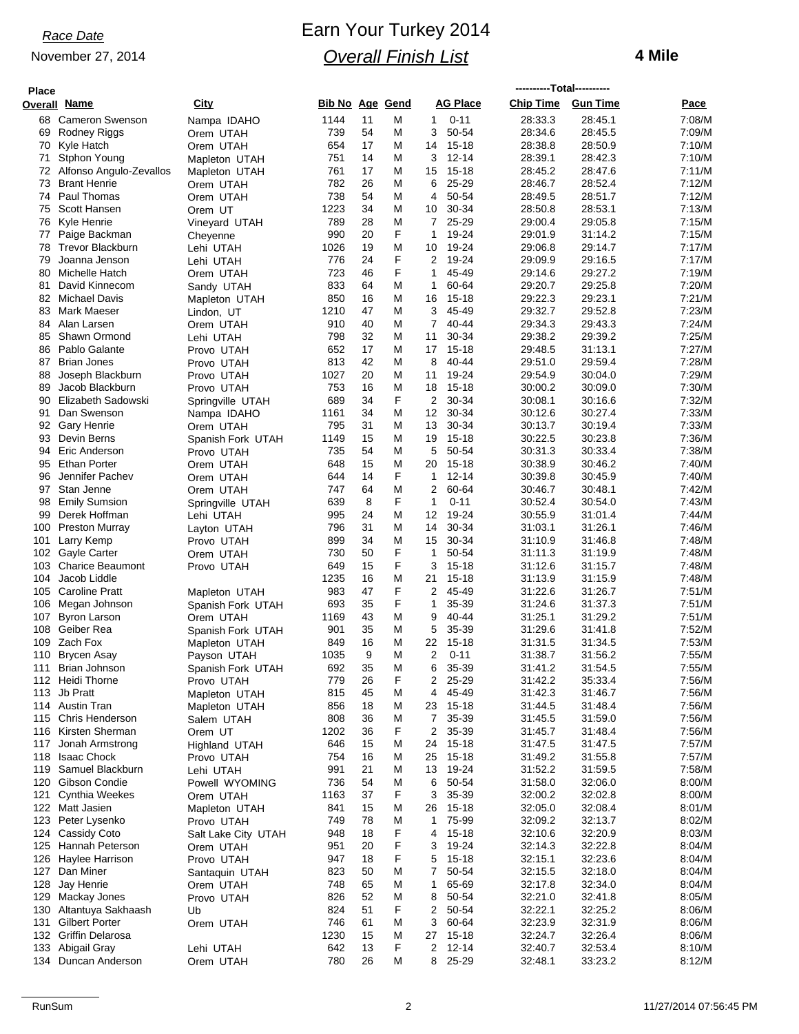November 27, 2014

## Earn Your Turkey 2014 *Overall Finish List*

| <b>Place</b> |                                            |                                    |                        |          |        |                |                    | ----------Total---------- |                    |                  |
|--------------|--------------------------------------------|------------------------------------|------------------------|----------|--------|----------------|--------------------|---------------------------|--------------------|------------------|
|              | Overall Name                               | City                               | <b>Bib No Age Gend</b> |          |        |                | <b>AG Place</b>    | <b>Chip Time</b>          | <b>Gun Time</b>    | Pace             |
| 68           | <b>Cameron Swenson</b>                     | Nampa IDAHO                        | 1144                   | 11       | M      | 1              | $0 - 11$           | 28:33.3                   | 28:45.1            | 7:08/M           |
| 69           | Rodney Riggs                               | Orem UTAH                          | 739                    | 54       | Μ      | 3              | 50-54              | 28:34.6                   | 28:45.5            | 7:09/M           |
| 70           | Kyle Hatch                                 | Orem UTAH                          | 654                    | 17       | М      | 14             | $15 - 18$          | 28:38.8                   | 28:50.9            | 7:10/M           |
| 71           | Stphon Young                               | Mapleton UTAH                      | 751                    | 14       | Μ      | 3              | 12-14              | 28:39.1                   | 28:42.3            | 7:10/M           |
| 72           | Alfonso Angulo-Zevallos                    | Mapleton UTAH                      | 761                    | 17<br>26 | M      | 15             | $15 - 18$<br>25-29 | 28:45.2                   | 28:47.6            | 7:11/M           |
| 73<br>74     | <b>Brant Henrie</b><br>Paul Thomas         | Orem UTAH<br>Orem UTAH             | 782<br>738             | 54       | M<br>M | 6<br>4         | 50-54              | 28:46.7<br>28:49.5        | 28:52.4<br>28:51.7 | 7:12/M<br>7:12/M |
| 75           | Scott Hansen                               | Orem UT                            | 1223                   | 34       | M      | 10             | 30-34              | 28:50.8                   | 28:53.1            | 7:13/M           |
| 76           | Kyle Henrie                                | Vineyard UTAH                      | 789                    | 28       | M      | $\overline{7}$ | 25-29              | 29:00.4                   | 29:05.8            | 7:15/M           |
| 77           | Paige Backman                              | Cheyenne                           | 990                    | 20       | F      | 1              | 19-24              | 29:01.9                   | 31:14.2            | 7:15/M           |
| 78           | <b>Trevor Blackburn</b>                    | Lehi UTAH                          | 1026                   | 19       | М      | 10             | 19-24              | 29:06.8                   | 29:14.7            | 7:17/M           |
| 79           | Joanna Jenson                              | Lehi UTAH                          | 776                    | 24       | F      | 2              | 19-24              | 29:09.9                   | 29:16.5            | 7:17/M           |
| 80           | Michelle Hatch                             | Orem UTAH                          | 723                    | 46       | F      | 1              | 45-49              | 29:14.6                   | 29:27.2            | 7:19/M           |
| 81<br>82     | David Kinnecom<br>Michael Davis            | Sandy UTAH                         | 833<br>850             | 64<br>16 | M<br>M | 1<br>16        | 60-64<br>$15 - 18$ | 29:20.7<br>29:22.3        | 29:25.8<br>29:23.1 | 7:20/M<br>7:21/M |
| 83           | Mark Maeser                                | Mapleton UTAH<br>Lindon, UT        | 1210                   | 47       | M      | 3              | 45-49              | 29:32.7                   | 29:52.8            | 7:23/M           |
| 84           | Alan Larsen                                | Orem UTAH                          | 910                    | 40       | M      | $\overline{7}$ | 40-44              | 29:34.3                   | 29:43.3            | 7:24/M           |
| 85           | Shawn Ormond                               | Lehi UTAH                          | 798                    | 32       | M      | 11             | 30-34              | 29:38.2                   | 29:39.2            | 7:25/M           |
| 86           | Pablo Galante                              | Provo UTAH                         | 652                    | 17       | М      | 17             | 15-18              | 29:48.5                   | 31:13.1            | 7:27/M           |
| 87           | <b>Brian Jones</b>                         | Provo UTAH                         | 813                    | 42       | M      | 8              | 40-44              | 29:51.0                   | 29:59.4            | 7:28/M           |
| 88           | Joseph Blackburn                           | Provo UTAH                         | 1027                   | 20       | M      | 11             | 19-24              | 29:54.9                   | 30:04.0            | 7:29/M           |
| 89           | Jacob Blackburn                            | Provo UTAH                         | 753                    | 16       | M      | 18             | 15-18              | 30:00.2                   | 30:09.0            | 7:30/M           |
| 90<br>91     | Elizabeth Sadowski<br>Dan Swenson          | Springville UTAH                   | 689<br>1161            | 34<br>34 | F<br>M | 2<br>12        | 30-34<br>30-34     | 30:08.1<br>30:12.6        | 30:16.6<br>30:27.4 | 7:32/M<br>7:33/M |
| 92           | <b>Gary Henrie</b>                         | Nampa IDAHO<br>Orem UTAH           | 795                    | 31       | M      | 13             | 30-34              | 30:13.7                   | 30:19.4            | 7:33/M           |
| 93           | Devin Berns                                | Spanish Fork UTAH                  | 1149                   | 15       | M      | 19             | $15 - 18$          | 30:22.5                   | 30:23.8            | 7:36/M           |
| 94           | Eric Anderson                              | Provo UTAH                         | 735                    | 54       | М      | 5              | 50-54              | 30:31.3                   | 30:33.4            | 7:38/M           |
| 95           | <b>Ethan Porter</b>                        | Orem UTAH                          | 648                    | 15       | M      | 20             | $15 - 18$          | 30:38.9                   | 30:46.2            | 7:40/M           |
| 96           | Jennifer Pachev                            | Orem UTAH                          | 644                    | 14       | F      | 1              | $12 - 14$          | 30:39.8                   | 30:45.9            | 7:40/M           |
| 97           | Stan Jenne                                 | Orem UTAH                          | 747                    | 64       | M      | 2              | 60-64              | 30:46.7                   | 30:48.1            | 7:42/M           |
| 98           | <b>Emily Sumsion</b>                       | Springville UTAH                   | 639                    | 8        | F      | $\mathbf{1}$   | $0 - 11$           | 30:52.4                   | 30:54.0            | 7:43/M           |
| 99<br>100    | Derek Hoffman<br><b>Preston Murray</b>     | Lehi UTAH                          | 995<br>796             | 24<br>31 | M<br>M | 12<br>14       | 19-24<br>30-34     | 30:55.9<br>31:03.1        | 31:01.4<br>31:26.1 | 7:44/M<br>7:46/M |
| 101          | Larry Kemp                                 | Layton UTAH<br>Provo UTAH          | 899                    | 34       | M      | 15             | 30-34              | 31:10.9                   | 31:46.8            | 7:48/M           |
|              | 102 Gayle Carter                           | Orem UTAH                          | 730                    | 50       | F      | 1              | 50-54              | 31:11.3                   | 31:19.9            | 7:48/M           |
| 103          | <b>Charice Beaumont</b>                    | Provo UTAH                         | 649                    | 15       | F      | 3              | $15 - 18$          | 31:12.6                   | 31:15.7            | 7:48/M           |
| 104          | Jacob Liddle                               |                                    | 1235                   | 16       | M      | 21             | $15 - 18$          | 31:13.9                   | 31:15.9            | 7:48/M           |
| 105          | Caroline Pratt                             | Mapleton UTAH                      | 983                    | 47       | F      | 2              | 45-49              | 31:22.6                   | 31:26.7            | 7:51/M           |
| 106          | Megan Johnson                              | Spanish Fork UTAH                  | 693                    | 35       | F      | 1              | 35-39              | 31:24.6                   | 31:37.3            | 7:51/M           |
| 108          | 107 Byron Larson<br>Geiber Rea             | Orem UTAH                          | 1169                   | 43<br>35 | M<br>M | 9<br>5         | 40-44<br>35-39     | 31:25.1                   | 31:29.2            | 7.51/M<br>7:52/M |
| 109          | Zach Fox                                   | Spanish Fork UTAH<br>Mapleton UTAH | 901<br>849             | 16       | M      | 22             | $15 - 18$          | 31:29.6<br>31:31.5        | 31:41.8<br>31:34.5 | 7:53/M           |
|              | 110 Brycen Asay                            | Payson UTAH                        | 1035                   | 9        | М      | 2              | $0 - 11$           | 31:38.7                   | 31:56.2            | 7:55/M           |
| 111          | Brian Johnson                              | Spanish Fork UTAH                  | 692                    | 35       | M      | 6              | 35-39              | 31:41.2                   | 31:54.5            | 7:55/M           |
|              | 112 Heidi Thorne                           | Provo UTAH                         | 779                    | 26       | F      | 2              | 25-29              | 31:42.2                   | 35:33.4            | 7:56/M           |
|              | 113 Jb Pratt                               | Mapleton UTAH                      | 815                    | 45       | M      | 4              | 45-49              | 31:42.3                   | 31:46.7            | 7:56/M           |
|              | 114 Austin Tran                            | Mapleton UTAH                      | 856                    | 18       | M      | 23             | $15 - 18$          | 31:44.5                   | 31:48.4            | 7:56/M           |
|              | 115 Chris Henderson                        | Salem UTAH                         | 808                    | 36       | M      | $\overline{7}$ | 35-39              | 31:45.5                   | 31:59.0            | 7:56/M           |
| 117          | 116 Kirsten Sherman<br>Jonah Armstrong     | Orem UT                            | 1202<br>646            | 36<br>15 | F<br>M | 2<br>24        | 35-39<br>$15 - 18$ | 31:45.7<br>31:47.5        | 31:48.4<br>31:47.5 | 7:56/M<br>7:57/M |
|              | 118 Isaac Chock                            | Highland UTAH<br>Provo UTAH        | 754                    | 16       | M      | 25             | $15 - 18$          | 31:49.2                   | 31:55.8            | 7:57/M           |
| 119          | Samuel Blackburn                           | Lehi UTAH                          | 991                    | 21       | Μ      | 13             | 19-24              | 31:52.2                   | 31:59.5            | 7:58/M           |
| 120          | Gibson Condie                              | Powell WYOMING                     | 736                    | 54       | M      | 6              | 50-54              | 31:58.0                   | 32:06.0            | 8:00/M           |
| 121          | <b>Cynthia Weekes</b>                      | Orem UTAH                          | 1163                   | 37       | F      | 3              | 35-39              | 32:00.2                   | 32:02.8            | 8:00/M           |
|              | 122 Matt Jasien                            | Mapleton UTAH                      | 841                    | 15       | M      | 26             | $15 - 18$          | 32:05.0                   | 32:08.4            | 8:01/M           |
| 123          | Peter Lysenko                              | Provo UTAH                         | 749                    | 78       | M      | 1              | 75-99              | 32:09.2                   | 32:13.7            | 8:02/M           |
|              | 124 Cassidy Coto                           | Salt Lake City UTAH                | 948                    | 18       | F      | 4              | 15-18              | 32:10.6                   | 32:20.9            | 8:03/M           |
|              | 125 Hannah Peterson<br>126 Haylee Harrison | Orem UTAH<br>Provo UTAH            | 951<br>947             | 20<br>18 | F<br>F | 3<br>5         | 19-24<br>$15 - 18$ | 32:14.3<br>32:15.1        | 32:22.8<br>32:23.6 | 8:04/M<br>8:04/M |
| 127          | Dan Miner                                  | Santaquin UTAH                     | 823                    | 50       | M      | 7              | 50-54              | 32:15.5                   | 32:18.0            | 8:04/M           |
| 128          | Jay Henrie                                 | Orem UTAH                          | 748                    | 65       | Μ      | 1              | 65-69              | 32:17.8                   | 32:34.0            | 8:04/M           |
| 129          | Mackay Jones                               | Provo UTAH                         | 826                    | 52       | Μ      | 8              | 50-54              | 32:21.0                   | 32:41.8            | 8:05/M           |
| 130          | Altantuya Sakhaash                         | Ub                                 | 824                    | 51       | F      | 2              | 50-54              | 32:22.1                   | 32:25.2            | 8:06/M           |
|              | 131 Gilbert Porter                         | Orem UTAH                          | 746                    | 61       | Μ      | 3              | 60-64              | 32:23.9                   | 32:31.9            | 8:06/M           |
|              | 132 Griffin Delarosa                       |                                    | 1230                   | 15       | Μ      | 27             | $15 - 18$          | 32:24.7                   | 32:26.4            | 8:06/M           |
| 133          | Abigail Gray<br>134 Duncan Anderson        | Lehi UTAH                          | 642<br>780             | 13       | F      | 2              | $12 - 14$          | 32:40.7                   | 32:53.4            | 8:10/M<br>8:12/M |
|              |                                            | Orem UTAH                          |                        | 26       | Μ      |                | 8 25-29            | 32:48.1                   | 33:23.2            |                  |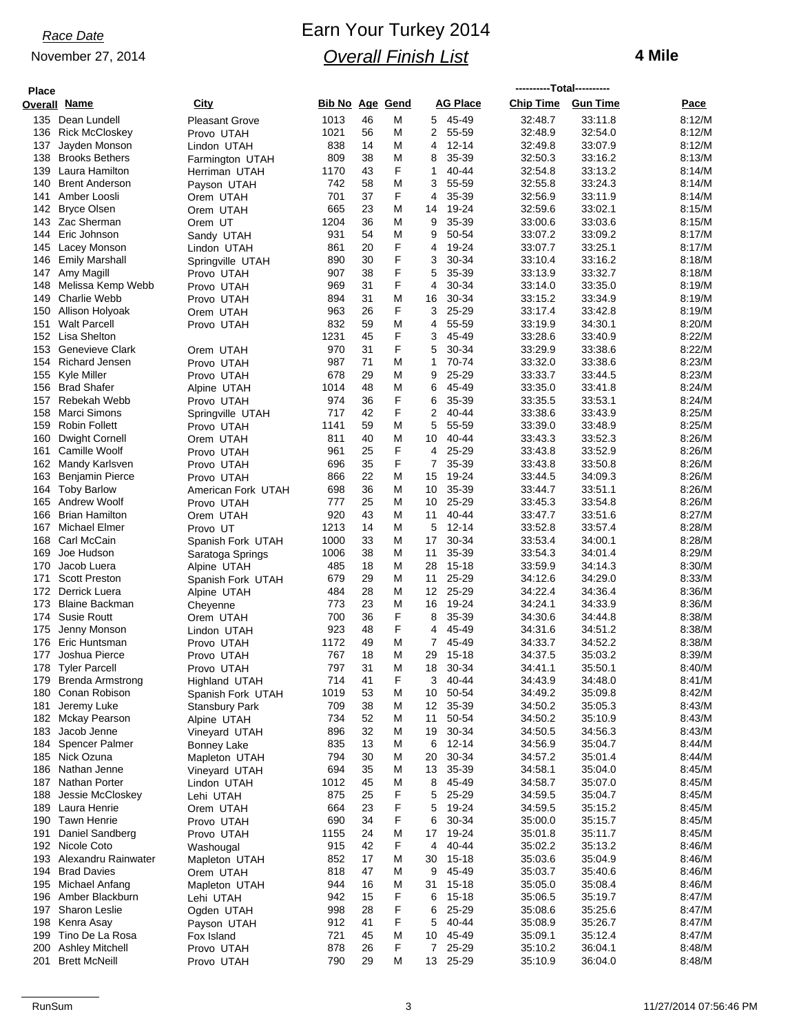November 27, 2014

## Earn Your Turkey 2014 *Overall Finish List*

| <b>Place</b>   |                                           |                                       |                        |          |        |                               | ----------Total---------- |                    |                  |
|----------------|-------------------------------------------|---------------------------------------|------------------------|----------|--------|-------------------------------|---------------------------|--------------------|------------------|
| <b>Overall</b> | Name                                      | City                                  | <b>Bib No Age Gend</b> |          |        | <b>AG Place</b>               | <b>Chip Time</b>          | <b>Gun Time</b>    | Pace             |
|                | 135 Dean Lundell                          | <b>Pleasant Grove</b>                 | 1013                   | 46       | M      | 45-49<br>5                    | 32:48.7                   | 33:11.8            | 8:12/M           |
|                | 136 Rick McCloskey                        | Provo UTAH                            | 1021                   | 56       | M      | 2<br>55-59                    | 32:48.9                   | 32:54.0            | 8.12/M           |
| 137            | Jayden Monson                             | Lindon UTAH                           | 838                    | 14       | M      | 4<br>12-14                    | 32:49.8                   | 33:07.9            | 8:12/M           |
| 138            | <b>Brooks Bethers</b>                     | Farmington UTAH                       | 809                    | 38       | M      | 35-39<br>8                    | 32:50.3                   | 33:16.2            | 8.13/M           |
| 139            | Laura Hamilton                            | Herriman UTAH                         | 1170                   | 43       | F      | 40-44<br>1                    | 32:54.8                   | 33:13.2            | 8:14/M           |
|                | 140 Brent Anderson                        | Payson UTAH                           | 742                    | 58       | M      | 3<br>55-59                    | 32:55.8                   | 33:24.3            | 8:14/M           |
| 141            | Amber Loosli                              | Orem UTAH                             | 701<br>665             | 37<br>23 | F<br>M | 35-39<br>4<br>19-24           | 32:56.9<br>32:59.6        | 33:11.9<br>33:02.1 | 8:14/M<br>8.15/M |
|                | 142 Bryce Olsen<br>143 Zac Sherman        | Orem UTAH<br>Orem UT                  | 1204                   | 36       | M      | 14<br>9<br>35-39              | 33:00.6                   | 33:03.6            | 8:15/M           |
| 144            | Eric Johnson                              | Sandy UTAH                            | 931                    | 54       | M      | 9<br>50-54                    | 33:07.2                   | 33:09.2            | 8:17/M           |
| 145            | Lacey Monson                              | Lindon UTAH                           | 861                    | 20       | F      | 19-24<br>4                    | 33.07.7                   | 33:25.1            | 8.17/M           |
| 146            | <b>Emily Marshall</b>                     | Springville UTAH                      | 890                    | 30       | F      | 30-34<br>3                    | 33:10.4                   | 33:16.2            | 8:18/M           |
|                | 147 Amy Magill                            | Provo UTAH                            | 907                    | 38       | F      | 5<br>35-39                    | 33:13.9                   | 33:32.7            | 8:18/M           |
| 148            | Melissa Kemp Webb                         | Provo UTAH                            | 969                    | 31       | F      | 30-34<br>4                    | 33:14.0                   | 33:35.0            | 8:19/M           |
| 149            | <b>Charlie Webb</b>                       | Provo UTAH                            | 894                    | 31       | M      | 30-34<br>16                   | 33:15.2                   | 33:34.9            | 8:19/M           |
| 150            | Allison Holyoak                           | Orem UTAH                             | 963                    | 26       | F      | 25-29<br>3                    | 33:17.4                   | 33:42.8            | 8.19/M           |
| 151            | <b>Walt Parcell</b>                       | Provo UTAH                            | 832                    | 59       | M      | 55-59<br>4                    | 33:19.9                   | 34:30.1            | 8:20/M           |
|                | 152 Lisa Shelton                          |                                       | 1231                   | 45       | F      | 45-49<br>3                    | 33:28.6                   | 33:40.9            | 8:22/M           |
| 153            | Genevieve Clark<br>154 Richard Jensen     | Orem UTAH                             | 970<br>987             | 31<br>71 | F<br>M | 30-34<br>5<br>70-74<br>1      | 33:29.9<br>33.32.0        | 33:38.6<br>33:38.6 | 8:22/M<br>8:23/M |
|                | 155 Kyle Miller                           | Provo UTAH<br>Provo UTAH              | 678                    | 29       | M      | 9<br>25-29                    | 33.33.7                   | 33:44.5            | 8:23/M           |
|                | 156 Brad Shafer                           | Alpine UTAH                           | 1014                   | 48       | M      | 45-49<br>6                    | 33:35.0                   | 33:41.8            | 8.24/M           |
| 157            | Rebekah Webb                              | Provo UTAH                            | 974                    | 36       | F      | 6<br>35-39                    | 33:35.5                   | 33:53.1            | 8:24/M           |
|                | 158 Marci Simons                          | Springville UTAH                      | 717                    | 42       | F      | 2<br>40-44                    | 33:38.6                   | 33:43.9            | 8:25/M           |
| 159            | <b>Robin Follett</b>                      | Provo UTAH                            | 1141                   | 59       | M      | 5<br>55-59                    | 33.39.0                   | 33:48.9            | 8:25/M           |
|                | 160 Dwight Cornell                        | Orem UTAH                             | 811                    | 40       | M      | 40-44<br>10                   | 33:43.3                   | 33:52.3            | 8:26/M           |
| 161            | Camille Woolf                             | Provo UTAH                            | 961                    | 25       | F      | 25-29<br>4                    | 33:43.8                   | 33:52.9            | 8:26/M           |
|                | 162 Mandy Karlsven                        | Provo UTAH                            | 696                    | 35       | F      | 35-39<br>7                    | 33:43.8                   | 33:50.8            | 8:26/M           |
|                | 163 Benjamin Pierce                       | Provo UTAH                            | 866                    | 22       | M      | 19-24<br>15                   | 33:44.5                   | 34:09.3            | 8:26/M           |
|                | 164 Toby Barlow                           | American Fork UTAH                    | 698                    | 36       | M      | 35-39<br>10                   | 33:44.7                   | 33:51.1            | 8:26/M           |
| 165            | Andrew Woolf                              | Provo UTAH                            | 777                    | 25       | M      | 25-29<br>10                   | 33:45.3                   | 33:54.8            | 8:26/M           |
| 166            | Brian Hamilton                            | Orem UTAH                             | 920                    | 43       | M      | 40-44<br>11                   | 33:47.7                   | 33:51.6            | 8.27/M           |
| 167<br>168     | Michael Elmer<br>Carl McCain              | Provo UT                              | 1213<br>1000           | 14<br>33 | M<br>M | $12 - 14$<br>5<br>30-34<br>17 | 33:52.8<br>33:53.4        | 33:57.4<br>34:00.1 | 8:28/M<br>8:28/M |
| 169            | Joe Hudson                                | Spanish Fork UTAH<br>Saratoga Springs | 1006                   | 38       | M      | 35-39<br>11                   | 33.54.3                   | 34:01.4            | 8:29/M           |
| 170            | Jacob Luera                               | Alpine UTAH                           | 485                    | 18       | M      | $15 - 18$<br>28               | 33.59.9                   | 34:14.3            | 8.30/M           |
| 171            | <b>Scott Preston</b>                      | Spanish Fork UTAH                     | 679                    | 29       | M      | 25-29<br>11                   | 34:12.6                   | 34:29.0            | 8:33/M           |
|                | 172 Derrick Luera                         | Alpine UTAH                           | 484                    | 28       | M      | 25-29<br>12                   | 34:22.4                   | 34:36.4            | 8:36/M           |
| 173            | <b>Blaine Backman</b>                     | Cheyenne                              | 773                    | 23       | M      | 19-24<br>16                   | 34:24.1                   | 34:33.9            | 8:36/M           |
|                | 174 Susie Routt                           | Orem UTAH                             | 700                    | 36       | F      | 35-39<br>8                    | 34:30.6                   | 34:44.8            | 8:38/M           |
| 175            | Jenny Monson                              | Lindon UTAH                           | 923                    | 48       | F      | 45-49<br>4                    | 34:31.6                   | 34:51.2            | 8:38/M           |
| 176            | Eric Huntsman                             | Provo UTAH                            | 1172                   | 49       | M      | 7<br>45-49                    | 34:33.7                   | 34:52.2            | 8:38/M           |
|                | 177 Joshua Pierce                         | Provo UTAH                            | 767                    | 18       | M      | 29<br>15-18                   | 34:37.5                   | 35:03.2            | 8:39/M           |
|                | 178 Tyler Parcell                         | Provo UTAH                            | 797<br>714             | 31       | M<br>F | 18<br>30-34<br>3<br>40-44     | 34:41.1<br>34:43.9        | 35:50.1            | 8:40/M<br>8:41/M |
|                | 179 Brenda Armstrong<br>180 Conan Robison | Highland UTAH<br>Spanish Fork UTAH    | 1019                   | 41<br>53 | M      | 50-54<br>10                   | 34:49.2                   | 34:48.0<br>35:09.8 | 8:42/M           |
| 181            | Jeremy Luke                               | Stansbury Park                        | 709                    | 38       | M      | 12<br>35-39                   | 34:50.2                   | 35:05.3            | 8:43/M           |
|                | 182 Mckay Pearson                         | Alpine UTAH                           | 734                    | 52       | M      | 50-54<br>11                   | 34:50.2                   | 35:10.9            | 8:43/M           |
|                | 183 Jacob Jenne                           | Vineyard UTAH                         | 896                    | 32       | M      | 30-34<br>19                   | 34:50.5                   | 34:56.3            | 8:43/M           |
|                | 184 Spencer Palmer                        | Bonney Lake                           | 835                    | 13       | M      | 6<br>$12 - 14$                | 34.56.9                   | 35:04.7            | 8:44/M           |
|                | 185 Nick Ozuna                            | Mapleton UTAH                         | 794                    | 30       | M      | 20<br>30-34                   | 34:57.2                   | 35:01.4            | 8:44/M           |
|                | 186 Nathan Jenne                          | Vineyard UTAH                         | 694                    | 35       | M      | 13<br>35-39                   | 34:58.1                   | 35:04.0            | 8:45/M           |
|                | 187 Nathan Porter                         | Lindon UTAH                           | 1012                   | 45       | M      | 8<br>45-49                    | 34:58.7                   | 35:07.0            | 8:45/M           |
|                | 188 Jessie McCloskey                      | Lehi UTAH                             | 875                    | 25       | F      | 5<br>25-29                    | 34:59.5                   | 35:04.7            | 8:45/M           |
|                | 189 Laura Henrie                          | Orem UTAH                             | 664                    | 23       | F      | 5<br>19-24                    | 34:59.5                   | 35:15.2            | 8:45/M           |
|                | 190 Tawn Henrie<br>Daniel Sandberg        | Provo UTAH                            | 690                    | 34       | F<br>M | 30-34<br>6<br>19-24           | 35:00.0                   | 35:15.7            | 8:45/M           |
| 191            | 192 Nicole Coto                           | Provo UTAH<br>Washougal               | 1155<br>915            | 24<br>42 | F      | 17<br>40-44<br>4              | 35:01.8<br>35:02.2        | 35:11.7<br>35:13.2 | 8:45/M<br>8:46/M |
|                | 193 Alexandru Rainwater                   | Mapleton UTAH                         | 852                    | 17       | M      | $15-18$<br>30                 | 35:03.6                   | 35:04.9            | 8:46/M           |
|                | 194 Brad Davies                           | Orem UTAH                             | 818                    | 47       | M      | 9<br>45-49                    | 35:03.7                   | 35:40.6            | 8:46/M           |
|                | 195 Michael Anfang                        | Mapleton UTAH                         | 944                    | 16       | M      | 31<br>$15-18$                 | 35:05.0                   | 35:08.4            | 8:46/M           |
|                | 196 Amber Blackburn                       | Lehi UTAH                             | 942                    | 15       | F      | 6<br>$15 - 18$                | 35:06.5                   | 35:19.7            | 8:47/M           |
|                | 197 Sharon Leslie                         | Ogden UTAH                            | 998                    | 28       | F      | 6<br>25-29                    | 35:08.6                   | 35:25.6            | 8:47/M           |
|                | 198 Kenra Asay                            | Payson UTAH                           | 912                    | 41       | F      | 40-44<br>5                    | 35:08.9                   | 35:26.7            | 8:47/M           |
|                | 199 Tino De La Rosa                       | Fox Island                            | 721                    | 45       | M      | 45-49<br>10                   | 35:09.1                   | 35:12.4            | 8:47/M           |
|                | 200 Ashley Mitchell                       | Provo UTAH                            | 878                    | 26       | F      | 7<br>25-29                    | 35:10.2                   | 36:04.1            | 8:48/M           |
|                | 201 Brett McNeill                         | Provo UTAH                            | 790                    | 29       | M      | 13 25-29                      | 35:10.9                   | 36:04.0            | 8:48/M           |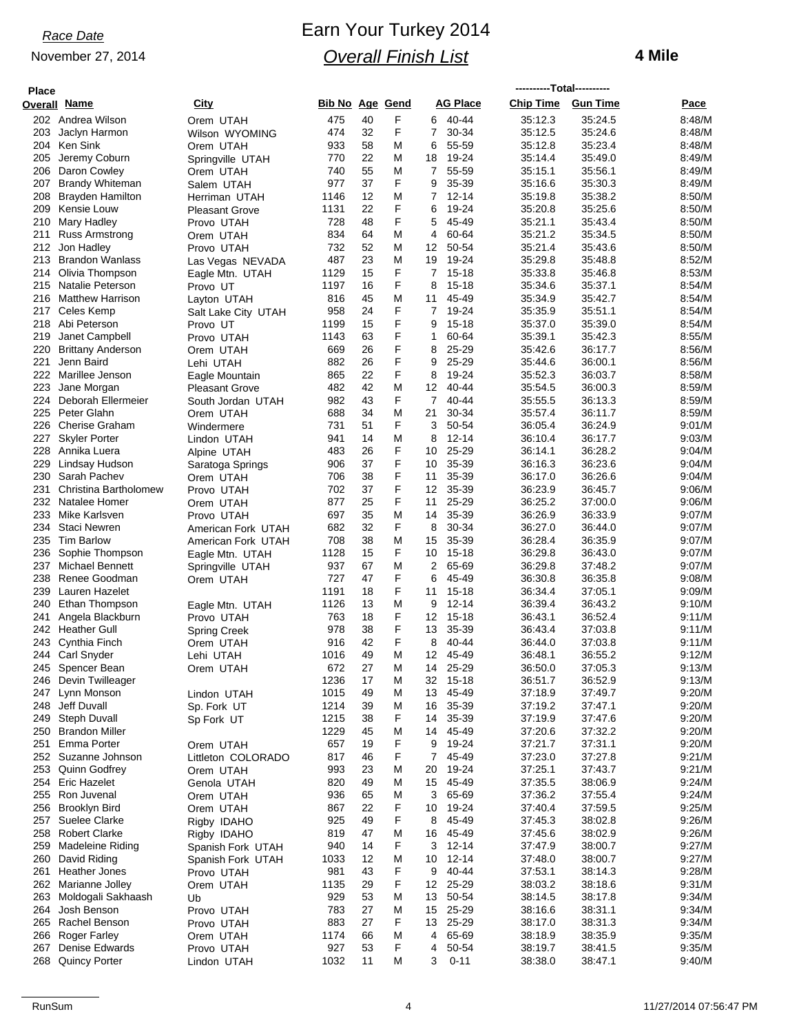November 27, 2014

## Earn Your Turkey 2014 *Overall Finish List*

| <b>Place</b> |                                              |                                        |                        |          |        |          |                        | ----------Total---------- |                    |                  |
|--------------|----------------------------------------------|----------------------------------------|------------------------|----------|--------|----------|------------------------|---------------------------|--------------------|------------------|
|              | Overall Name                                 | <b>City</b>                            | <b>Bib No Age Gend</b> |          |        |          | <b>AG Place</b>        | <b>Chip Time</b>          | <b>Gun Time</b>    | Pace             |
|              | 202 Andrea Wilson                            | Orem UTAH                              | 475                    | 40       | F      | 6        | 40-44                  | 35:12.3                   | 35:24.5            | 8:48/M           |
| 203          | Jaclyn Harmon                                | Wilson WYOMING                         | 474                    | 32       | F      | 7        | 30-34                  | 35:12.5                   | 35:24.6            | 8:48/M           |
|              | 204 Ken Sink                                 | Orem UTAH                              | 933                    | 58       | M      | 6        | 55-59                  | 35:12.8                   | 35:23.4            | 8:48/M           |
| 205          | Jeremy Coburn                                | Springville UTAH                       | 770                    | 22       | M      | 18       | 19-24                  | 35:14.4                   | 35:49.0            | 8:49/M           |
| 206<br>207   | Daron Cowley<br><b>Brandy Whiteman</b>       | Orem UTAH                              | 740<br>977             | 55<br>37 | M<br>F | 7<br>9   | 55-59<br>35-39         | 35:15.1<br>35:16.6        | 35.56.1<br>35:30.3 | 8:49/M<br>8:49/M |
| 208          | <b>Brayden Hamilton</b>                      | Salem UTAH<br>Herriman UTAH            | 1146                   | 12       | M      | 7        | $12 - 14$              | 35:19.8                   | 35:38.2            | 8:50/M           |
| 209          | Kensie Louw                                  | <b>Pleasant Grove</b>                  | 1131                   | 22       | F      | 6        | 19-24                  | 35:20.8                   | 35:25.6            | 8:50/M           |
| 210          | Mary Hadley                                  | Provo UTAH                             | 728                    | 48       | F      | 5        | 45-49                  | 35:21.1                   | 35.43.4            | 8:50/M           |
| 211          | <b>Russ Armstrong</b>                        | Orem UTAH                              | 834                    | 64       | M      | 4        | 60-64                  | 35:21.2                   | 35:34.5            | 8:50/M           |
|              | 212 Jon Hadley                               | Provo UTAH                             | 732                    | 52       | M      | 12       | 50-54                  | 35:21.4                   | 35:43.6            | 8:50/M           |
| 213          | <b>Brandon Wanlass</b>                       | Las Vegas NEVADA                       | 487                    | 23       | M      | 19       | 19-24                  | 35:29.8                   | 35:48.8            | 8:52/M           |
|              | 214 Olivia Thompson                          | Eagle Mtn. UTAH                        | 1129                   | 15       | F<br>F | 7        | $15 - 18$              | 35:33.8                   | 35:46.8            | 8:53/M           |
| 215<br>216   | Natalie Peterson<br><b>Matthew Harrison</b>  | Provo UT<br>Layton UTAH                | 1197<br>816            | 16<br>45 | M      | 8<br>11  | 15-18<br>45-49         | 35:34.6<br>35:34.9        | 35:37.1<br>35:42.7 | 8:54/M<br>8:54/M |
| 217          | Celes Kemp                                   | Salt Lake City UTAH                    | 958                    | 24       | F      | 7        | 19-24                  | 35:35.9                   | 35.51.1            | 8:54/M           |
| 218          | Abi Peterson                                 | Provo UT                               | 1199                   | 15       | F      | 9        | $15 - 18$              | 35:37.0                   | 35:39.0            | 8:54/M           |
| 219          | Janet Campbell                               | Provo UTAH                             | 1143                   | 63       | F      | 1        | 60-64                  | 35:39.1                   | 35:42.3            | 8:55/M           |
| 220          | <b>Brittany Anderson</b>                     | Orem UTAH                              | 669                    | 26       | F      | 8        | 25-29                  | 35:42.6                   | 36:17.7            | 8:56/M           |
| 221          | Jenn Baird                                   | Lehi UTAH                              | 882                    | 26       | F      | 9        | 25-29                  | 35:44.6                   | 36:00.1            | 8:56/M           |
| 222          | Marillee Jenson                              | Eagle Mountain                         | 865                    | 22       | F      | 8        | 19-24                  | 35:52.3                   | 36:03.7            | 8:58/M           |
| 223<br>224   | Jane Morgan                                  | <b>Pleasant Grove</b>                  | 482<br>982             | 42<br>43 | Μ<br>F | 12<br>7  | 40-44<br>40-44         | 35:54.5                   | 36:00.3            | 8:59/M<br>8:59/M |
| 225          | Deborah Ellermeier<br>Peter Glahn            | South Jordan UTAH<br>Orem UTAH         | 688                    | 34       | Μ      | 21       | 30-34                  | 35:55.5<br>35:57.4        | 36:13.3<br>36:11.7 | 8:59/M           |
| 226          | <b>Cherise Graham</b>                        | Windermere                             | 731                    | 51       | F      | 3        | 50-54                  | 36:05.4                   | 36:24.9            | 9:01/M           |
| 227          | <b>Skyler Porter</b>                         | Lindon UTAH                            | 941                    | 14       | Μ      | 8        | $12 - 14$              | 36:10.4                   | 36:17.7            | 9:03/M           |
| 228          | Annika Luera                                 | Alpine UTAH                            | 483                    | 26       | F      | 10       | 25-29                  | 36:14.1                   | 36:28.2            | 9:04/M           |
| 229          | Lindsay Hudson                               | Saratoga Springs                       | 906                    | 37       | F      | 10       | 35-39                  | 36:16.3                   | 36:23.6            | 9:04/M           |
| 230          | Sarah Pachev                                 | Orem UTAH                              | 706                    | 38       | F      | 11       | 35-39                  | 36:17.0                   | 36:26.6            | 9:04/M           |
| 231          | Christina Bartholomew                        | Provo UTAH                             | 702                    | 37       | F      | 12       | 35-39                  | 36:23.9                   | 36:45.7            | 9:06/M           |
| 232<br>233   | Natalee Homer<br>Mike Karlsven               | Orem UTAH                              | 877<br>697             | 25<br>35 | F<br>M | 11<br>14 | 25-29<br>35-39         | 36:25.2<br>36:26.9        | 37:00.0<br>36:33.9 | 9:06/M<br>9:07/M |
| 234          | Staci Newren                                 | Provo UTAH<br>American Fork UTAH       | 682                    | 32       | F      | 8        | 30-34                  | 36:27.0                   | 36:44.0            | 9:07/M           |
| 235          | <b>Tim Barlow</b>                            | American Fork UTAH                     | 708                    | 38       | M      | 15       | 35-39                  | 36:28.4                   | 36:35.9            | 9:07/M           |
| 236          | Sophie Thompson                              | Eagle Mtn. UTAH                        | 1128                   | 15       | F      | 10       | 15-18                  | 36:29.8                   | 36:43.0            | 9:07/M           |
| 237          | <b>Michael Bennett</b>                       | Springville UTAH                       | 937                    | 67       | M      | 2        | 65-69                  | 36:29.8                   | 37:48.2            | 9:07/M           |
| 238          | Renee Goodman                                | Orem UTAH                              | 727                    | 47       | F      | 6        | 45-49                  | 36:30.8                   | 36:35.8            | 9:08/M           |
| 239          | Lauren Hazelet                               |                                        | 1191                   | 18       | F      | 11       | $15 - 18$              | 36:34.4                   | 37:05.1            | 9:09/M           |
| 240<br>241   | Ethan Thompson                               | Eagle Mtn. UTAH                        | 1126                   | 13       | M<br>F | 9<br>12  | $12 - 14$<br>$15 - 18$ | 36:39.4                   | 36:43.2<br>36:52.4 | 9:10/M<br>9:11/M |
|              | Angela Blackburn<br>242 Heather Gull         | Provo UTAH                             | 763<br>978             | 18<br>38 | F      | 13       | 35-39                  | 36:43.1<br>36:43.4        | 37:03.8            | 9:11/M           |
| 243          | Cynthia Finch                                | Spring Creek<br>Orem UTAH              | 916                    | 42       | F      | 8        | 40-44                  | 36:44.0                   | 37:03.8            | 9:11/M           |
|              | 244 Carl Snyder                              | Lehi UTAH                              | 1016                   | 49       | М      |          | 12 45-49               | 36:48.1                   | 36:55.2            | 9:12/M           |
|              | 245 Spencer Bean                             | Orem UIAH                              | 672                    | 27       | M      | 14       | 25-29                  | 36:50.0                   | 37:05.3            | 9:13/M           |
|              | 246 Devin Twilleager                         |                                        | 1236                   | 17       | M      | 32       | $15 - 18$              | 36:51.7                   | 36:52.9            | 9:13/M           |
|              | 247 Lynn Monson                              | Lindon UTAH                            | 1015                   | 49       | M      | 13       | 45-49                  | 37:18.9                   | 37:49.7            | 9:20/M           |
| 248          | Jeff Duvall                                  | Sp. Fork UT                            | 1214                   | 39       | M      | 16       | 35-39                  | 37:19.2                   | 37:47.1            | 9:20/M           |
| 249          | <b>Steph Duvall</b><br><b>Brandon Miller</b> | Sp Fork UT                             | 1215                   | 38<br>45 | F<br>M | 14<br>14 | 35-39<br>45-49         | 37:19.9                   | 37:47.6<br>37:32.2 | 9:20/M<br>9:20/M |
| 250<br>251   | Emma Porter                                  | Orem UTAH                              | 1229<br>657            | 19       | F      | 9        | 19-24                  | 37:20.6<br>37:21.7        | 37:31.1            | 9:20/M           |
|              | 252 Suzanne Johnson                          | Littleton COLORADO                     | 817                    | 46       | F      | 7        | 45-49                  | 37:23.0                   | 37:27.8            | 9:21/M           |
| 253          | <b>Quinn Godfrey</b>                         | Orem UTAH                              | 993                    | 23       | M      | 20       | 19-24                  | 37:25.1                   | 37:43.7            | 9:21/M           |
| 254          | <b>Eric Hazelet</b>                          | Genola UTAH                            | 820                    | 49       | M      | 15       | 45-49                  | 37:35.5                   | 38:06.9            | 9:24/M           |
|              | 255 Ron Juvenal                              | Orem UTAH                              | 936                    | 65       | M      | 3        | 65-69                  | 37:36.2                   | 37:55.4            | 9:24/M           |
| 256          | <b>Brooklyn Bird</b>                         | Orem UTAH                              | 867                    | 22       | F      | 10       | 19-24                  | 37:40.4                   | 37:59.5            | 9:25/M           |
| 257          | Suelee Clarke                                | Rigby IDAHO                            | 925                    | 49       | F      | 8        | 45-49                  | 37:45.3                   | 38:02.8            | 9:26/M           |
| 258<br>259   | <b>Robert Clarke</b><br>Madeleine Riding     | Rigby IDAHO                            | 819<br>940             | 47<br>14 | M<br>F | 16<br>3  | 45-49<br>$12 - 14$     | 37:45.6<br>37:47.9        | 38:02.9<br>38:00.7 | 9:26/M<br>9:27/M |
| 260          | David Riding                                 | Spanish Fork UTAH<br>Spanish Fork UTAH | 1033                   | 12       | M      | 10       | $12 - 14$              | 37:48.0                   | 38:00.7            | 9:27/M           |
| 261          | <b>Heather Jones</b>                         | Provo UTAH                             | 981                    | 43       | F      | 9        | 40-44                  | 37:53.1                   | 38:14.3            | 9:28/M           |
| 262          | Marianne Jolley                              | Orem UTAH                              | 1135                   | 29       | F      | 12       | 25-29                  | 38:03.2                   | 38:18.6            | 9:31/M           |
| 263          | Moldogali Sakhaash                           | Ub                                     | 929                    | 53       | M      | 13       | 50-54                  | 38:14.5                   | 38:17.8            | 9:34/M           |
| 264          | Josh Benson                                  | Provo UTAH                             | 783                    | 27       | M      | 15       | 25-29                  | 38:16.6                   | 38:31.1            | 9:34/M           |
|              | 265 Rachel Benson                            | Provo UTAH                             | 883                    | 27       | F      | 13       | 25-29                  | 38:17.0                   | 38:31.3            | 9:34/M           |
| 266          | <b>Roger Farley</b>                          | Orem UTAH                              | 1174<br>927            | 66       | M      | 4        | 65-69<br>50-54         | 38:18.9                   | 38:35.9            | 9:35/M           |
| 267          | Denise Edwards<br>268 Quincy Porter          | Provo UTAH<br>Lindon UTAH              | 1032                   | 53<br>11 | F<br>M | 4        | $30 - 11$              | 38:19.7<br>38:38.0        | 38:41.5<br>38:47.1 | 9:35/M<br>9:40/M |
|              |                                              |                                        |                        |          |        |          |                        |                           |                    |                  |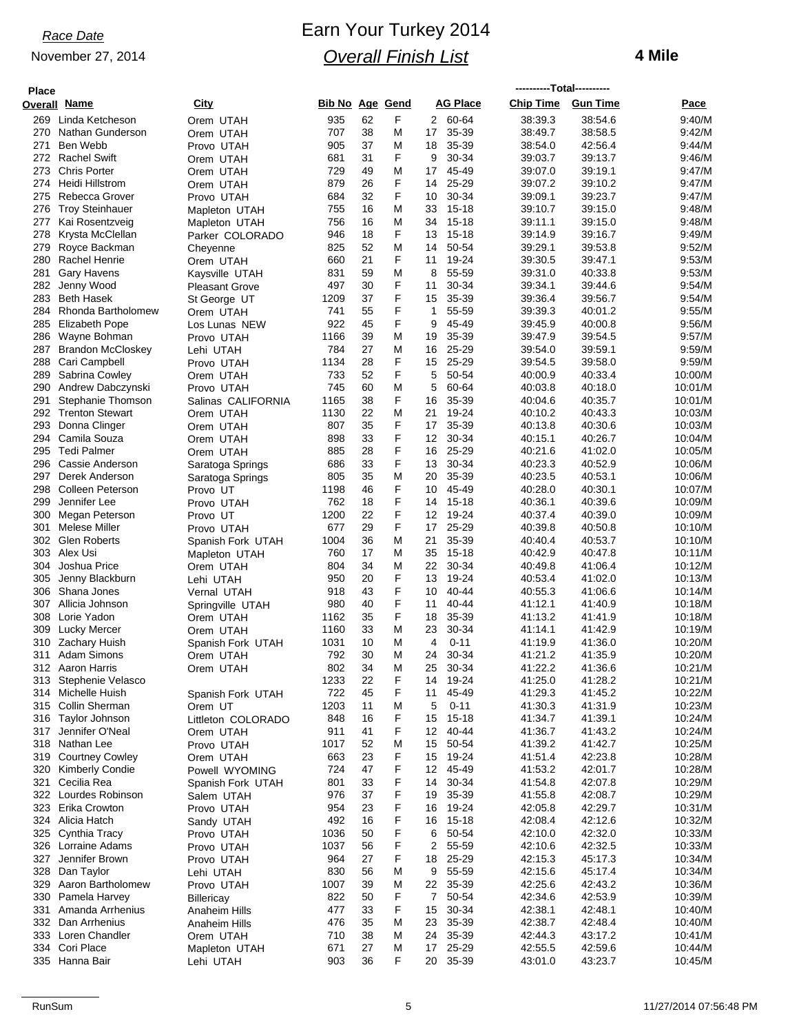November 27, 2014

## Earn Your Turkey 2014 *Overall Finish List*

| <b>Place</b> |                                            |                                      |                        |          |        |                                | ----------Total---------- |                    |                    |
|--------------|--------------------------------------------|--------------------------------------|------------------------|----------|--------|--------------------------------|---------------------------|--------------------|--------------------|
| Overall Name |                                            | City                                 | <b>Bib No Age Gend</b> |          |        | <b>AG Place</b>                | <b>Chip Time</b>          | <b>Gun Time</b>    | Pace               |
| 269          | Linda Ketcheson                            | Orem UTAH                            | 935                    | 62       | F      | $\mathbf{2}$<br>60-64          | 38:39.3                   | 38:54.6            | 9:40/M             |
| 270          | Nathan Gunderson                           | Orem UTAH                            | 707                    | 38       | M      | 35-39<br>17                    | 38:49.7                   | 38:58.5            | 9.42/M             |
| 271          | Ben Webb                                   | Provo UTAH                           | 905                    | 37       | M      | 35-39<br>18                    | 38:54.0                   | 42:56.4            | 9:44/M             |
| 273          | 272 Rachel Swift<br><b>Chris Porter</b>    | Orem UTAH                            | 681<br>729             | 31<br>49 | F<br>M | 30-34<br>9<br>17<br>45-49      | 39:03.7<br>39:07.0        | 39:13.7<br>39:19.1 | 9:46/M<br>9:47/M   |
|              | 274 Heidi Hillstrom                        | Orem UTAH<br>Orem UTAH               | 879                    | 26       | F      | 25-29<br>14                    | 39:07.2                   | 39:10.2            | 9:47/M             |
| 275          | Rebecca Grover                             | Provo UTAH                           | 684                    | 32       | F      | 10<br>30-34                    | 39:09.1                   | 39:23.7            | 9:47/M             |
| 276          | <b>Troy Steinhauer</b>                     | Mapleton UTAH                        | 755                    | 16       | M      | 33<br>$15 - 18$                | 39:10.7                   | 39:15.0            | 9.48/M             |
| 277          | Kai Rosentzveig                            | Mapleton UTAH                        | 756                    | 16       | M      | $15 - 18$<br>34                | 39:11.1                   | 39:15.0            | 9:48/M             |
| 278          | Krysta McClellan                           | Parker COLORADO                      | 946                    | 18       | F      | $15 - 18$<br>13                | 39:14.9                   | 39.16.7            | 9:49/M             |
| 279<br>280   | Royce Backman<br>Rachel Henrie             | Chevenne                             | 825<br>660             | 52<br>21 | M<br>F | 50-54<br>14<br>19-24<br>11     | 39:29.1<br>39:30.5        | 39:53.8<br>39.47.1 | 9:52/M<br>9:53/M   |
| 281          | <b>Gary Havens</b>                         | Orem UTAH<br>Kaysville UTAH          | 831                    | 59       | M      | 55-59<br>8                     | 39:31.0                   | 40:33.8            | 9:53/M             |
| 282          | Jenny Wood                                 | Pleasant Grove                       | 497                    | 30       | F      | 30-34<br>11                    | 39:34.1                   | 39:44.6            | 9:54/M             |
| 283          | <b>Beth Hasek</b>                          | St George UT                         | 1209                   | 37       | F      | 35-39<br>15                    | 39:36.4                   | 39:56.7            | 9:54/M             |
|              | 284 Rhonda Bartholomew                     | Orem UTAH                            | 741                    | 55       | F      | 55-59<br>1                     | 39:39.3                   | 40:01.2            | 9.55/M             |
| 285          | Elizabeth Pope                             | Los Lunas NEW                        | 922                    | 45       | F      | 9<br>45-49                     | 39:45.9                   | 40:00.8            | 9:56/M             |
|              | 286 Wayne Bohman                           | Provo UTAH                           | 1166                   | 39       | M      | 35-39<br>19                    | 39:47.9                   | 39.54.5            | 9.57/M             |
| 288          | 287 Brandon McCloskey<br>Cari Campbell     | Lehi UTAH<br>Provo UTAH              | 784<br>1134            | 27<br>28 | M<br>F | 25-29<br>16<br>25-29<br>15     | 39:54.0<br>39:54.5        | 39:59.1<br>39:58.0 | 9:59/M<br>9:59/M   |
| 289          | Sabrina Cowley                             | Orem UTAH                            | 733                    | 52       | F      | 5<br>50-54                     | 40:00.9                   | 40:33.4            | 10:00/M            |
|              | 290 Andrew Dabczynski                      | Provo UTAH                           | 745                    | 60       | M      | 5<br>60-64                     | 40:03.8                   | 40:18.0            | 10:01/M            |
| 291          | Stephanie Thomson                          | Salinas CALIFORNIA                   | 1165                   | 38       | F      | 16<br>35-39                    | 40:04.6                   | 40:35.7            | 10:01/M            |
|              | 292 Trenton Stewart                        | Orem UTAH                            | 1130                   | 22       | M      | 19-24<br>21                    | 40:10.2                   | 40:43.3            | 10:03/M            |
| 293          | Donna Clinger                              | Orem UTAH                            | 807                    | 35       | F      | 35-39<br>17                    | 40:13.8                   | 40:30.6            | 10:03/M            |
|              | 294 Camila Souza                           | Orem UTAH                            | 898                    | 33       | F      | 30-34<br>12                    | 40:15.1                   | 40:26.7            | 10:04/M            |
| 295<br>296   | Tedi Palmer<br>Cassie Anderson             | Orem UTAH                            | 885<br>686             | 28<br>33 | F<br>F | 25-29<br>16<br>13<br>30-34     | 40:21.6<br>40:23.3        | 41:02.0<br>40:52.9 | 10:05/M<br>10:06/M |
| 297          | Derek Anderson                             | Saratoga Springs<br>Saratoga Springs | 805                    | 35       | M      | 35-39<br>20                    | 40:23.5                   | 40:53.1            | 10:06/M            |
| 298          | Colleen Peterson                           | Provo UT                             | 1198                   | 46       | F      | 45-49<br>10                    | 40:28.0                   | 40:30.1            | 10:07/M            |
| 299          | Jennifer Lee                               | Provo UTAH                           | 762                    | 18       | F      | $15 - 18$<br>14                | 40:36.1                   | 40:39.6            | 10:09/M            |
| 300          | Megan Peterson                             | Provo UT                             | 1200                   | 22       | F      | 19-24<br>12                    | 40:37.4                   | 40:39.0            | 10:09/M            |
| 301          | Melese Miller                              | Provo UTAH                           | 677                    | 29       | F      | 25-29<br>17                    | 40:39.8                   | 40:50.8            | 10:10/M            |
|              | 302 Glen Roberts                           | Spanish Fork UTAH                    | 1004                   | 36       | M      | 21<br>35-39                    | 40:40.4                   | 40.53.7            | 10:10/M            |
| 304          | 303 Alex Usi<br>Joshua Price               | Mapleton UTAH                        | 760<br>804             | 17<br>34 | M<br>M | 35<br>$15 - 18$<br>30-34<br>22 | 40:42.9<br>40:49.8        | 40:47.8<br>41:06.4 | 10:11/M<br>10:12/M |
|              | 305 Jenny Blackburn                        | Orem UTAH<br>Lehi UTAH               | 950                    | 20       | F      | 13<br>19-24                    | 40.53.4                   | 41:02.0            | 10:13/M            |
|              | 306 Shana Jones                            | Vernal UTAH                          | 918                    | 43       | F      | 40-44<br>10                    | 40:55.3                   | 41:06.6            | 10:14/M            |
| 307          | Allicia Johnson                            | Springville UTAH                     | 980                    | 40       | F      | 40-44<br>11                    | 41:12.1                   | 41:40.9            | 10:18/M            |
| 308          | Lorie Yadon                                | Orem UTAH                            | 1162                   | 35       | F      | 35-39<br>18                    | 41:13.2                   | 41:41.9            | 10:18/M            |
| 309          | Lucky Mercer                               | Orem UTAH                            | 1160                   | 33       | M      | 23<br>30-34                    | 41:14.1                   | 41:42.9            | 10:19/M            |
| 310          | Zachary Huish                              | Spanish Fork UTAH                    | 1031                   | 10       | M      | 4<br>$0 - 11$                  | 41:19.9                   | 41:36.0            | 10:20/M<br>10:20/M |
|              | 311 Adam Simons<br>312 Aaron Harris        | Orem UTAH                            | 792<br>802             | 30<br>34 | M<br>M | 30-34<br>24<br>25<br>30-34     | 41:21.2<br>41:22.2        | 41:35.9<br>41:36.6 | 10:21/M            |
|              | 313 Stephenie Velasco                      | Orem UTAH                            | 1233                   | 22       | F      | 19-24<br>14                    | 41:25.0                   | 41:28.2            | 10:21/M            |
|              | 314 Michelle Huish                         | Spanish Fork UTAH                    | 722                    | 45       | F      | 45-49<br>11                    | 41:29.3                   | 41:45.2            | 10:22/M            |
|              | 315 Collin Sherman                         | Orem UT                              | 1203                   | 11       | M      | 5<br>$0 - 11$                  | 41:30.3                   | 41:31.9            | 10:23/M            |
|              | 316 Taylor Johnson                         | Littleton COLORADO                   | 848                    | 16       | F      | $15 - 18$<br>15                | 41:34.7                   | 41:39.1            | 10:24/M            |
|              | 317 Jennifer O'Neal                        | Orem UTAH                            | 911                    | 41       | F      | 12<br>40-44                    | 41:36.7                   | 41:43.2            | 10:24/M            |
|              | 318 Nathan Lee                             | Provo UTAH                           | 1017                   | 52       | M      | 15<br>50-54                    | 41:39.2                   | 41:42.7            | 10:25/M            |
|              | 319 Courtney Cowley<br>320 Kimberly Condie | Orem UTAH<br>Powell WYOMING          | 663<br>724             | 23<br>47 | F<br>F | 19-24<br>15<br>12<br>45-49     | 41:51.4<br>41:53.2        | 42:23.8<br>42:01.7 | 10:28/M<br>10:28/M |
|              | 321 Cecilia Rea                            | Spanish Fork UTAH                    | 801                    | 33       | F      | 30-34<br>14                    | 41:54.8                   | 42:07.8            | 10:29/M            |
|              | 322 Lourdes Robinson                       | Salem UTAH                           | 976                    | 37       | F      | 35-39<br>19                    | 41:55.8                   | 42:08.7            | 10:29/M            |
|              | 323 Erika Crowton                          | Provo UTAH                           | 954                    | 23       | F      | 19-24<br>16                    | 42:05.8                   | 42:29.7            | 10:31/M            |
|              | 324 Alicia Hatch                           | Sandy UTAH                           | 492                    | 16       | F      | $15-18$<br>16                  | 42:08.4                   | 42:12.6            | 10:32/M            |
|              | 325 Cynthia Tracy                          | Provo UTAH                           | 1036                   | 50       | F      | 6<br>50-54                     | 42:10.0                   | 42:32.0            | 10:33/M            |
|              | 326 Lorraine Adams                         | Provo UTAH                           | 1037                   | 56       | F      | 2<br>55-59                     | 42:10.6                   | 42:32.5            | 10:33/M            |
|              | 327 Jennifer Brown                         | Provo UTAH                           | 964                    | 27       | F      | 18<br>25-29                    | 42:15.3                   | 45:17.3            | 10:34/M            |
|              | 328 Dan Taylor<br>329 Aaron Bartholomew    | Lehi UTAH<br>Provo UTAH              | 830<br>1007            | 56<br>39 | M<br>M | 9<br>55-59<br>22<br>35-39      | 42:15.6<br>42:25.6        | 45:17.4<br>42:43.2 | 10:34/M<br>10:36/M |
|              | 330 Pamela Harvey                          | Billericay                           | 822                    | 50       | F      | $\overline{7}$<br>50-54        | 42:34.6                   | 42.53.9            | 10:39/M            |
|              | 331 Amanda Arrhenius                       | Anaheim Hills                        | 477                    | 33       | F      | 30-34<br>15                    | 42:38.1                   | 42:48.1            | 10:40/M            |
|              | 332 Dan Arrhenius                          | Anaheim Hills                        | 476                    | 35       | M      | 35-39<br>23                    | 42:38.7                   | 42:48.4            | 10:40/M            |
|              | 333 Loren Chandler                         | Orem UTAH                            | 710                    | 38       | M      | 35-39<br>24                    | 42:44.3                   | 43:17.2            | 10:41/M            |
|              | 334 Cori Place                             | Mapleton UTAH                        | 671                    | 27       | M      | 25-29<br>17                    | 42:55.5                   | 42:59.6            | 10:44/M            |
|              | 335 Hanna Bair                             | Lehi UTAH                            | 903                    | 36       | F      | 20 35-39                       | 43:01.0                   | 43:23.7            | 10:45/M            |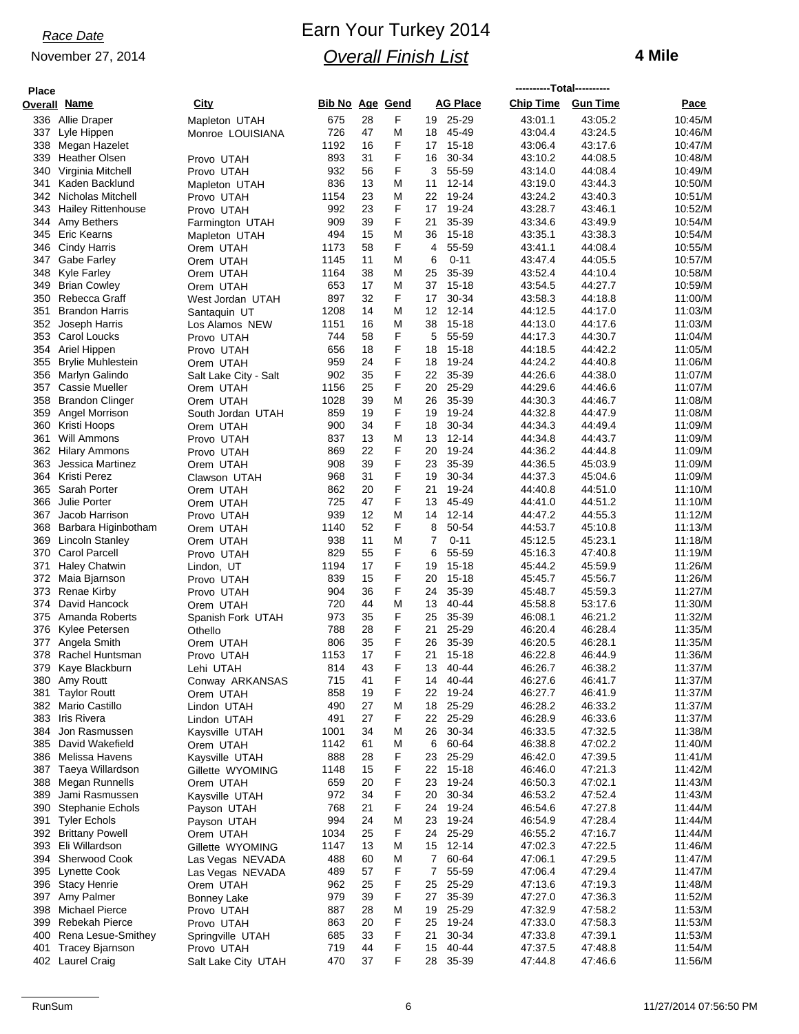November 27, 2014

## Earn Your Turkey 2014 *Overall Finish List*

| <b>Place</b>   |                                              |                                |                        |          |        |                |                    | ----------Total---------- |                    |                    |
|----------------|----------------------------------------------|--------------------------------|------------------------|----------|--------|----------------|--------------------|---------------------------|--------------------|--------------------|
| <b>Overall</b> | <u>Name</u>                                  | City                           | <b>Bib No Age Gend</b> |          |        |                | <b>AG Place</b>    | <b>Chip Time</b>          | <b>Gun Time</b>    | Pace               |
|                | 336 Allie Draper                             | Mapleton UTAH                  | 675                    | 28       | F      |                | 19 25-29           | 43:01.1                   | 43:05.2            | 10:45/M            |
|                | 337 Lyle Hippen                              | Monroe LOUISIANA               | 726                    | 47       | M      | 18             | 45-49              | 43:04.4                   | 43:24.5            | 10:46/M            |
| 338            | Megan Hazelet                                |                                | 1192                   | 16       | F      | 17             | $15 - 18$          | 43:06.4                   | 43:17.6            | 10:47/M            |
| 339<br>340     | <b>Heather Olsen</b><br>Virginia Mitchell    | Provo UTAH                     | 893<br>932             | 31<br>56 | F<br>F | 16<br>3        | 30-34<br>55-59     | 43:10.2                   | 44:08.5<br>44:08.4 | 10:48/M<br>10:49/M |
| 341            | Kaden Backlund                               | Provo UTAH<br>Mapleton UTAH    | 836                    | 13       | M      | 11             | $12 - 14$          | 43:14.0<br>43:19.0        | 43:44.3            | 10:50/M            |
|                | 342 Nicholas Mitchell                        | Provo UTAH                     | 1154                   | 23       | M      | 22             | 19-24              | 43:24.2                   | 43:40.3            | 10:51/M            |
| 343            | <b>Hailey Rittenhouse</b>                    | Provo UTAH                     | 992                    | 23       | F      | 17             | 19-24              | 43:28.7                   | 43:46.1            | 10:52/M            |
|                | 344 Amy Bethers                              | Farmington UTAH                | 909                    | 39       | F      | 21             | 35-39              | 43:34.6                   | 43:49.9            | 10:54/M            |
|                | 345 Eric Kearns                              | Mapleton UTAH                  | 494                    | 15       | M      | 36             | $15 - 18$          | 43:35.1                   | 43:38.3            | 10:54/M            |
| 346            | Cindy Harris<br>347 Gabe Farley              | Orem UTAH                      | 1173<br>1145           | 58<br>11 | F<br>M | 4<br>6         | 55-59<br>$0 - 11$  | 43:41.1                   | 44:08.4<br>44:05.5 | 10:55/M<br>10:57/M |
| 348            | Kyle Farley                                  | Orem UTAH<br>Orem UTAH         | 1164                   | 38       | M      | 25             | 35-39              | 43:47.4<br>43:52.4        | 44:10.4            | 10:58/M            |
| 349            | <b>Brian Cowley</b>                          | Orem UTAH                      | 653                    | 17       | M      | 37             | $15 - 18$          | 43:54.5                   | 44:27.7            | 10:59/M            |
| 350            | Rebecca Graff                                | West Jordan UTAH               | 897                    | 32       | F      | 17             | 30-34              | 43.58.3                   | 44:18.8            | 11:00/M            |
| 351            | <b>Brandon Harris</b>                        | Santaquin UT                   | 1208                   | 14       | M      | 12             | $12 - 14$          | 44:12.5                   | 44:17.0            | 11:03/M            |
|                | 352 Joseph Harris                            | Los Alamos NEW                 | 1151                   | 16       | M      | 38             | $15 - 18$          | 44:13.0                   | 44:17.6            | 11:03/M            |
|                | 353 Carol Loucks                             | Provo UTAH                     | 744                    | 58       | F      | 5              | 55-59              | 44:17.3                   | 44:30.7            | 11:04/M            |
| 355            | 354 Ariel Hippen<br><b>Brylie Muhlestein</b> | Provo UTAH<br>Orem UTAH        | 656<br>959             | 18<br>24 | F<br>F | 18<br>18       | $15 - 18$<br>19-24 | 44:18.5<br>44:24.2        | 44:42.2<br>44:40.8 | 11:05/M<br>11:06/M |
|                | 356 Marlyn Galindo                           | Salt Lake City - Salt          | 902                    | 35       | F      | 22             | 35-39              | 44.26.6                   | 44:38.0            | 11:07/M            |
|                | 357 Cassie Mueller                           | Orem UTAH                      | 1156                   | 25       | F      | 20             | 25-29              | 44:29.6                   | 44:46.6            | 11:07/M            |
| 358            | <b>Brandon Clinger</b>                       | Orem UTAH                      | 1028                   | 39       | M      | 26             | 35-39              | 44:30.3                   | 44:46.7            | 11:08/M            |
| 359            | Angel Morrison                               | South Jordan UTAH              | 859                    | 19       | F      | 19             | 19-24              | 44:32.8                   | 44:47.9            | 11:08/M            |
|                | 360 Kristi Hoops                             | Orem UTAH                      | 900                    | 34       | F      | 18             | 30-34              | 44:34.3                   | 44:49.4            | 11:09/M            |
| 361            | <b>Will Ammons</b><br>362 Hilary Ammons      | Provo UTAH<br>Provo UTAH       | 837<br>869             | 13<br>22 | M<br>F | 13<br>20       | $12 - 14$<br>19-24 | 44:34.8<br>44:36.2        | 44:43.7<br>44:44.8 | 11:09/M<br>11:09/M |
| 363            | Jessica Martinez                             | Orem UTAH                      | 908                    | 39       | F      | 23             | 35-39              | 44.36.5                   | 45:03.9            | 11:09/M            |
|                | 364 Kristi Perez                             | Clawson UTAH                   | 968                    | 31       | F      | 19             | 30-34              | 44.37.3                   | 45:04.6            | 11:09/M            |
|                | 365 Sarah Porter                             | Orem UTAH                      | 862                    | 20       | F      | 21             | 19-24              | 44:40.8                   | 44:51.0            | 11:10/M            |
| 366            | Julie Porter                                 | Orem UTAH                      | 725                    | 47       | F      | 13             | 45-49              | 44:41.0                   | 44:51.2            | 11:10/M            |
| 367            | Jacob Harrison                               | Provo UTAH                     | 939                    | 12       | M      | 14             | 12-14              | 44:47.2                   | 44:55.3            | 11:12/M            |
| 368<br>369     | Barbara Higinbotham<br>Lincoln Stanley       | Orem UTAH                      | 1140<br>938            | 52<br>11 | F<br>M | 8<br>7         | 50-54<br>$0 - 11$  | 44:53.7<br>45:12.5        | 45:10.8<br>45:23.1 | 11:13/M<br>11:18/M |
|                | 370 Carol Parcell                            | Orem UTAH<br>Provo UTAH        | 829                    | 55       | F      | 6              | 55-59              | 45:16.3                   | 47:40.8            | 11:19/M            |
| 371            | <b>Haley Chatwin</b>                         | Lindon, UT                     | 1194                   | 17       | F      | 19             | $15 - 18$          | 45:44.2                   | 45:59.9            | 11:26/M            |
|                | 372 Maia Bjarnson                            | Provo UTAH                     | 839                    | 15       | F      | 20             | $15 - 18$          | 45:45.7                   | 45:56.7            | 11:26/M            |
|                | 373 Renae Kirby                              | Provo UTAH                     | 904                    | 36       | F      | 24             | 35-39              | 45:48.7                   | 45:59.3            | 11:27/M            |
| 374            | David Hancock                                | Orem UTAH                      | 720                    | 44       | M      | 13             | 40-44              | 45:58.8                   | 53:17.6            | 11:30/M            |
|                | 375 Amanda Roberts                           | Spanish Fork UTAH              | 973<br>788             | 35<br>28 | F<br>F | 25<br>21       | 35-39<br>25-29     | 46:08.1<br>46:20.4        | 46:21.2<br>46:28.4 | 11:32/M<br>11:35/M |
| 377            | 376 Kylee Petersen<br>Angela Smith           | Othello<br>Orem UTAH           | 806                    | 35       | F      | 26             | 35-39              | 46:20.5                   | 46:28.1            | 11:35/M            |
|                | 378 Rachel Huntsman                          | Provo UTAH                     | 1153                   | 17       | F      | 21             | 15-18              | 46:22.8                   | 46:44.9            | 11:36/M            |
|                | 379 Kaye Blackburn                           | Lehi UIAH                      | 814                    | 43       | F      | 13             | 40-44              | 46:26.7                   | 46:38.2            | 11:37/M            |
|                | 380 Amy Routt                                | Conway ARKANSAS                | 715                    | 41       | F      | 14             | 40-44              | 46:27.6                   | 46:41.7            | 11:37/M            |
|                | 381 Taylor Routt                             | Orem UTAH                      | 858                    | 19       | F      | 22             | 19-24              | 46:27.7                   | 46:41.9            | 11:37/M            |
|                | 382 Mario Castillo                           | Lindon UTAH                    | 490                    | 27       | M      | 18             | 25-29              | 46:28.2                   | 46:33.2            | 11:37/M            |
|                | 383 Iris Rivera<br>384 Jon Rasmussen         | Lindon UTAH<br>Kaysville UTAH  | 491<br>1001            | 27<br>34 | F<br>M | 22<br>26       | 25-29<br>30-34     | 46:28.9<br>46:33.5        | 46:33.6<br>47:32.5 | 11:37/M<br>11:38/M |
|                | 385 David Wakefield                          | Orem UTAH                      | 1142                   | 61       | M      | 6              | 60-64              | 46:38.8                   | 47:02.2            | 11:40/M            |
|                | 386 Melissa Havens                           | Kaysville UTAH                 | 888                    | 28       | F      | 23             | 25-29              | 46:42.0                   | 47:39.5            | 11:41/M            |
|                | 387 Taeya Willardson                         | Gillette WYOMING               | 1148                   | 15       | F      | 22             | $15-18$            | 46:46.0                   | 47:21.3            | 11:42/M            |
|                | 388 Megan Runnells                           | Orem UTAH                      | 659                    | 20       | F      | 23             | 19-24              | 46:50.3                   | 47:02.1            | 11:43/M            |
| 389            | Jami Rasmussen                               | Kaysville UTAH                 | 972                    | 34       | F      | 20             | 30-34              | 46:53.2                   | 47:52.4            | 11:43/M            |
| 391            | 390 Stephanie Echols<br><b>Tyler Echols</b>  | Payson UTAH                    | 768<br>994             | 21<br>24 | F<br>M | 24<br>23       | 19-24<br>19-24     | 46:54.6<br>46:54.9        | 47:27.8<br>47:28.4 | 11:44/M<br>11:44/M |
|                | 392 Brittany Powell                          | Payson UTAH<br>Orem UTAH       | 1034                   | 25       | F      | 24             | 25-29              | 46:55.2                   | 47:16.7            | 11:44/M            |
|                | 393 Eli Willardson                           | Gillette WYOMING               | 1147                   | 13       | M      | 15             | $12 - 14$          | 47:02.3                   | 47:22.5            | 11:46/M            |
|                | 394 Sherwood Cook                            | Las Vegas NEVADA               | 488                    | 60       | M      | $\overline{7}$ | 60-64              | 47:06.1                   | 47:29.5            | 11:47/M            |
|                | 395 Lynette Cook                             | Las Vegas NEVADA               | 489                    | 57       | F      | 7              | 55-59              | 47:06.4                   | 47:29.4            | 11:47/M            |
|                | 396 Stacy Henrie                             | Orem UTAH                      | 962                    | 25       | F      | 25             | 25-29              | 47:13.6                   | 47:19.3            | 11:48/M            |
|                | 397 Amy Palmer                               | <b>Bonney Lake</b>             | 979                    | 39       | F      | 27             | 35-39              | 47:27.0                   | 47:36.3            | 11:52/M            |
|                | 398 Michael Pierce<br>399 Rebekah Pierce     | Provo UTAH                     | 887<br>863             | 28<br>20 | M<br>F | 19<br>25       | 25-29<br>19-24     | 47:32.9<br>47:33.0        | 47:58.2<br>47:58.3 | 11:53/M<br>11:53/M |
|                | 400 Rena Lesue-Smithey                       | Provo UTAH<br>Springville UTAH | 685                    | 33       | F      | 21             | 30-34              | 47:33.8                   | 47:39.1            | 11:53/M            |
|                | 401 Tracey Bjarnson                          | Provo UTAH                     | 719                    | 44       | F      | 15             | 40-44              | 47:37.5                   | 47:48.8            | 11:54/M            |
|                | 402 Laurel Craig                             | Salt Lake City UTAH            | 470                    | 37       | F      |                | 28 35-39           | 47:44.8                   | 47:46.6            | 11:56/M            |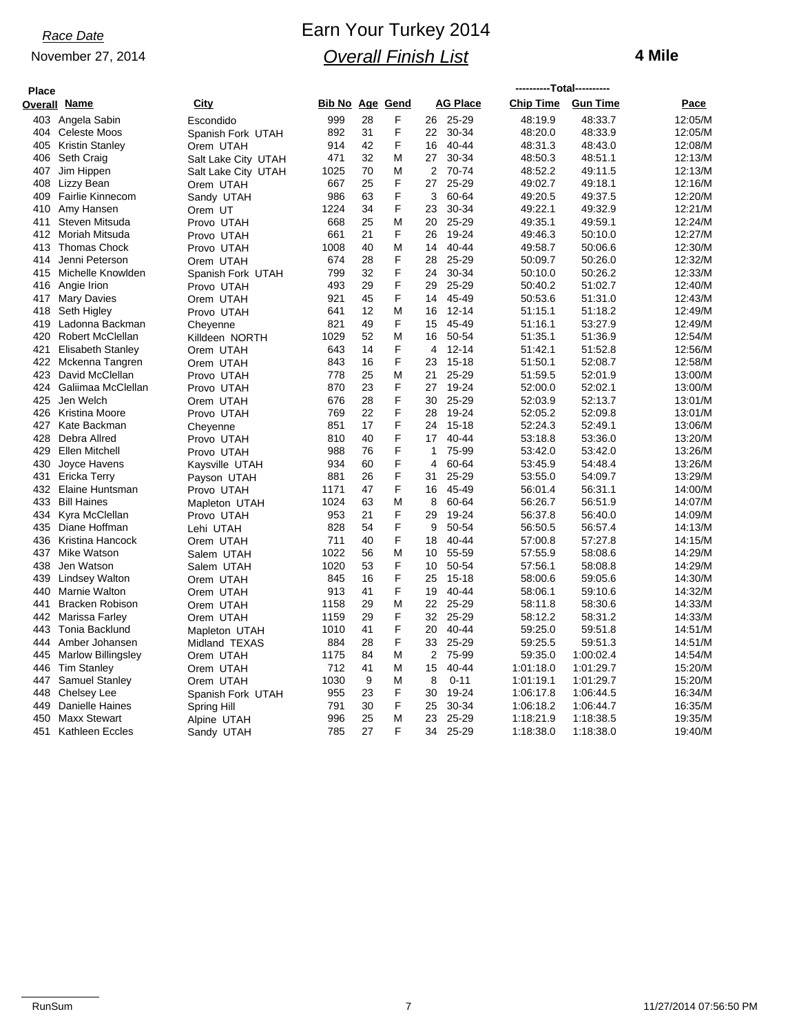November 27, 2014

## Earn Your Turkey 2014 *Overall Finish List*

| <b>Place</b> |                                          |                     |                        |          |        |                         |                    | ----------Total---------- |                        |                    |
|--------------|------------------------------------------|---------------------|------------------------|----------|--------|-------------------------|--------------------|---------------------------|------------------------|--------------------|
|              | <b>Overall Name</b>                      | City                | <b>Bib No Age Gend</b> |          |        |                         | <b>AG Place</b>    | Chip Time Gun Time        |                        | Pace               |
|              | 403 Angela Sabin                         | Escondido           | 999                    | 28       | F      | 26                      | 25-29              | 48:19.9                   | 48:33.7                | 12:05/M            |
|              | 404 Celeste Moos                         | Spanish Fork UTAH   | 892                    | 31       | F      | 22                      | 30-34              | 48:20.0                   | 48.33.9                | 12:05/M            |
|              | 405 Kristin Stanley                      | Orem UTAH           | 914                    | 42       | F      | 16                      | 40-44              | 48:31.3                   | 48.43.0                | 12:08/M            |
|              | 406 Seth Craig                           | Salt Lake City UTAH | 471                    | 32       | M      | 27                      | 30-34              | 48:50.3                   | 48:51.1                | 12:13/M            |
| 407          | Jim Hippen                               | Salt Lake City UTAH | 1025                   | 70       | M      | 2                       | 70-74              | 48:52.2                   | 49:11.5                | 12:13/M            |
| 408          | Lizzy Bean                               | Orem UTAH           | 667                    | 25       | F      | 27                      | 25-29              | 49:02.7                   | 49:18.1                | 12:16/M            |
| 409          | Fairlie Kinnecom                         | Sandy UTAH          | 986                    | 63       | F      | 3                       | 60-64              | 49:20.5                   | 49:37.5                | 12:20/M            |
|              | 410 Amy Hansen                           | Orem UT             | 1224                   | 34       | F      | 23                      | 30-34              | 49:22.1                   | 49:32.9                | 12:21/M            |
| 411          | Steven Mitsuda                           | Provo UTAH          | 668                    | 25       | M      | 20                      | 25-29              | 49:35.1                   | 49:59.1                | 12:24/M            |
|              | 412 Moriah Mitsuda                       | Provo UTAH          | 661                    | 21       | F      | 26                      | 19-24              | 49:46.3                   | 50:10.0                | 12:27/M            |
| 413          | <b>Thomas Chock</b>                      | Provo UTAH          | 1008                   | 40       | M      | 14                      | 40-44              | 49:58.7                   | 50:06.6                | 12:30/M            |
|              | 414 Jenni Peterson                       | Orem UTAH           | 674                    | 28       | F      | 28                      | 25-29              | 50:09.7                   | 50:26.0                | 12:32/M            |
| 415          | Michelle Knowlden                        | Spanish Fork UTAH   | 799                    | 32       | F      | 24                      | 30-34              | 50:10.0                   | 50:26.2                | 12:33/M            |
|              | 416 Angie Irion                          | Provo UTAH          | 493                    | 29       | F      | 29                      | 25-29              | 50:40.2                   | 51:02.7                | 12:40/M            |
|              | 417 Mary Davies                          | Orem UTAH           | 921                    | 45       | F      | 14                      | 45-49              | 50:53.6                   | 51:31.0                | 12:43/M            |
| 418          | Seth Higley                              | Provo UTAH          | 641                    | 12       | M      | 16                      | $12 - 14$          | 51:15.1                   | 51:18.2                | 12:49/M            |
| 419          | Ladonna Backman                          | Cheyenne            | 821                    | 49       | F      | 15                      | 45-49              | 51:16.1                   | 53:27.9                | 12:49/M            |
|              | 420 Robert McClellan                     | Killdeen NORTH      | 1029                   | 52       | M      | 16                      | 50-54              | 51:35.1                   | 51:36.9                | 12:54/M            |
| 421          | Elisabeth Stanley                        | Orem UTAH           | 643                    | 14       | F      | $\overline{\mathbf{4}}$ | $12 - 14$          | 51:42.1                   | 51:52.8                | 12:56/M            |
|              | 422 Mckenna Tangren                      | Orem UTAH           | 843                    | 16       | F      | 23                      | $15 - 18$          | 51:50.1                   | 52:08.7                | 12:58/M            |
|              | 423 David McClellan                      | Provo UTAH          | 778                    | 25       | M      | 21                      | 25-29              | 51:59.5                   | 52:01.9                | 13:00/M            |
|              | 424 Galiimaa McClellan                   | Provo UTAH          | 870                    | 23       | F      | 27                      | 19-24              | 52:00.0                   | 52:02.1                | 13:00/M            |
| 425          | Jen Welch                                | Orem UTAH           | 676                    | 28       | F      | 30                      | 25-29              | 52:03.9                   | 52:13.7                | 13:01/M            |
| 426          | <b>Kristina Moore</b>                    | Provo UTAH          | 769                    | 22       | F      | 28                      | 19-24              | 52:05.2                   | 52:09.8                | 13:01/M            |
|              | 427 Kate Backman                         | Cheyenne            | 851                    | 17       | F      | 24                      | $15 - 18$          | 52:24.3                   | 52:49.1                | 13:06/M            |
| 428          | Debra Allred                             | Provo UTAH          | 810                    | 40       | F      | 17                      | 40-44              | 53:18.8                   | 53:36.0                | 13:20/M            |
|              | 429 Ellen Mitchell                       | Provo UTAH          | 988                    | 76       | F      | 1                       | 75-99              | 53:42.0                   | 53:42.0                | 13:26/M            |
| 430          | Joyce Havens                             | Kaysville UTAH      | 934                    | 60       | F      | 4                       | 60-64              | 53:45.9                   | 54:48.4                | 13:26/M            |
| 431          | Ericka Terry                             | Payson UTAH         | 881                    | 26       | F      | 31                      | 25-29              | 53:55.0                   | 54:09.7                | 13:29/M            |
|              | 432 Elaine Huntsman                      | Provo UTAH          | 1171                   | 47       | F      | 16                      | 45-49              | 56:01.4                   | 56:31.1                | 14:00/M            |
|              | 433 Bill Haines                          | Mapleton UTAH       | 1024                   | 63       | M      | 8                       | 60-64              | 56:26.7                   | 56.51.9                | 14:07/M            |
|              | 434 Kyra McClellan                       | Provo UTAH          | 953                    | 21       | F      | 29                      | 19-24              | 56:37.8                   | 56:40.0                | 14:09/M            |
| 435          | Diane Hoffman                            | Lehi UTAH           | 828                    | 54       | F      | 9                       | 50-54              | 56:50.5                   | 56:57.4                | 14:13/M            |
|              | 436 Kristina Hancock                     | Orem UTAH           | 711                    | 40       | F      | 18                      | 40-44              | 57:00.8                   | 57:27.8                | 14:15/M            |
| 437          | Mike Watson                              | Salem UTAH          | 1022                   | 56       | M      | 10                      | 55-59              | 57:55.9                   | 58:08.6                | 14:29/M            |
| 438          | Jen Watson                               | Salem UTAH          | 1020                   | 53       | F      | 10                      | 50-54              | 57:56.1                   | 58:08.8                | 14:29/M            |
| 439          | <b>Lindsey Walton</b>                    | Orem UTAH           | 845                    | 16       | F<br>F | 25                      | $15 - 18$<br>40-44 | 58:00.6                   | 59:05.6                | 14:30/M            |
| 440          | Marnie Walton                            | Orem UTAH           | 913                    | 41       |        | 19                      |                    | 58:06.1                   | 59:10.6                | 14:32/M            |
| 441          | <b>Bracken Robison</b>                   | Orem UTAH           | 1158                   | 29       | M<br>F | 22                      | 25-29<br>25-29     | 58:11.8                   | 58:30.6                | 14:33/M            |
|              | 442 Marissa Farley                       | Orem UTAH           | 1159                   | 29<br>41 | F      | 32<br>20                | 40-44              | 58:12.2<br>59:25.0        | 58:31.2<br>59.51.8     | 14:33/M<br>14:51/M |
| 443<br>444   | Tonia Backlund                           | Mapleton UTAH       | 1010                   | 28       | F      | 33                      | 25-29              |                           |                        |                    |
| 445          | Amber Johansen                           | Midland TEXAS       | 884<br>1175            | 84       | M      | $\overline{2}$          | 75-99              | 59:25.5<br>59:35.0        | 59:51.3<br>1:00:02.4   | 14:51/M<br>14:54/M |
|              | <b>Marlow Billingsley</b>                | Orem UTAH           |                        | 41       | M      | 15                      | 40-44              |                           |                        | 15:20/M            |
| 446          | <b>Tim Stanley</b><br>447 Samuel Stanley | Orem UTAH           | 712<br>1030            | 9        | M      | 8                       | $0 - 11$           | 1:01:18.0                 | 1:01:29.7<br>1:01:29.7 | 15:20/M            |
| 448          | Chelsey Lee                              | Orem UTAH           | 955                    | 23       | F      | 30                      | 19-24              | 1:01:19.1<br>1.06.17.8    | 1.06.44.5              | 16:34/M            |
| 449          | Danielle Haines                          | Spanish Fork UTAH   | 791                    | 30       | F      | 25                      | 30-34              | 1:06:18.2                 | 1:06:44.7              | 16:35/M            |
| 450          | <b>Maxx Stewart</b>                      | Spring Hill         | 996                    | 25       | M      | 23                      | 25-29              | 1:18:21.9                 | 1:18:38.5              | 19:35/M            |
| 451          | <b>Kathleen Eccles</b>                   | Alpine UTAH         | 785                    | 27       | F      | 34                      | 25-29              | 1:18:38.0                 | 1:18:38.0              | 19:40/M            |
|              |                                          | Sandy UTAH          |                        |          |        |                         |                    |                           |                        |                    |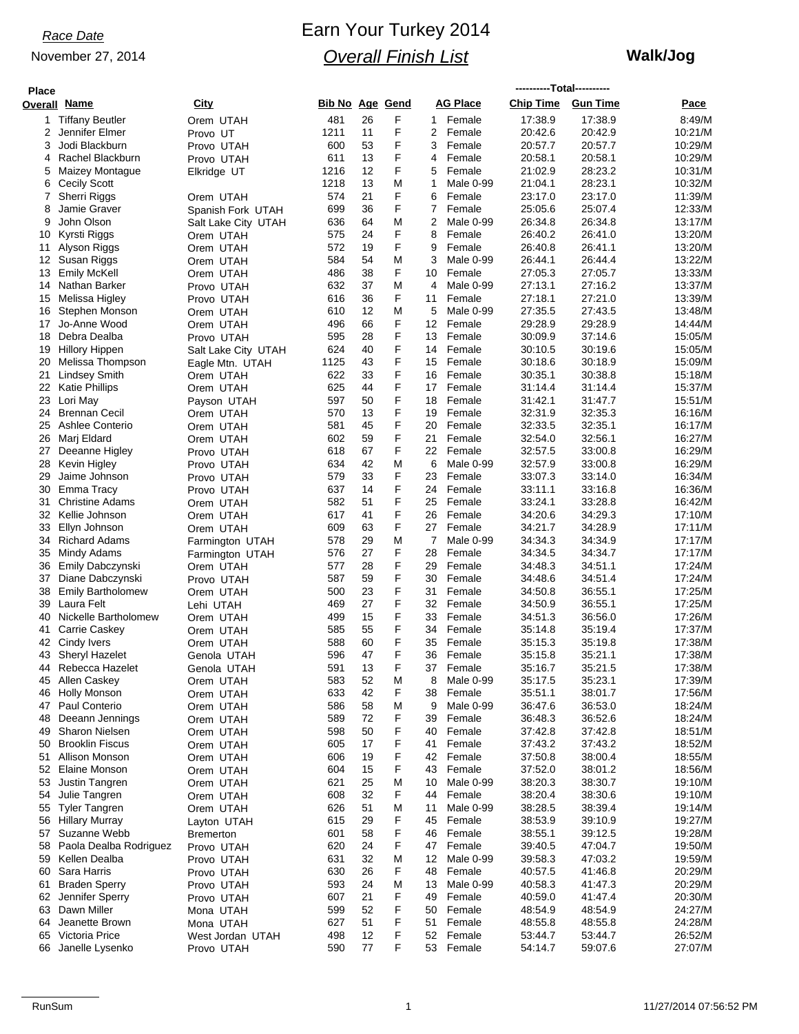November 27, 2014

## Earn Your Turkey 2014 *Overall Finish List*

### **Walk/Jog**

| <b>Place</b> |                                       |                                |                        |          |        |                |                     | ----------Total---------- |                    |                    |
|--------------|---------------------------------------|--------------------------------|------------------------|----------|--------|----------------|---------------------|---------------------------|--------------------|--------------------|
|              | Overall Name                          | City                           | <b>Bib No Age Gend</b> |          |        |                | <b>AG Place</b>     | <b>Chip Time</b>          | <b>Gun Time</b>    | Pace               |
| 1            | <b>Tiffany Beutler</b>                | Orem UTAH                      | 481                    | 26       | F      | 1.             | Female              | 17:38.9                   | 17:38.9            | 8:49/M             |
| 2            | Jennifer Elmer                        | Provo UT                       | 1211                   | 11       | F      | 2              | Female              | 20:42.6                   | 20:42.9            | 10:21/M            |
| 3            | Jodi Blackburn                        | Provo UTAH                     | 600                    | 53       | F      | 3              | Female              | 20:57.7                   | 20:57.7            | 10:29/M            |
| 4            | Rachel Blackburn                      | Provo UTAH                     | 611                    | 13       | F      | 4              | Female              | 20:58.1                   | 20:58.1            | 10:29/M            |
| 5            | Maizey Montague                       | Elkridge UT                    | 1216                   | 12       | F      | 5              | Female              | 21:02.9                   | 28:23.2            | 10:31/M            |
| 6<br>7       | <b>Cecily Scott</b><br>Sherri Riggs   |                                | 1218<br>574            | 13<br>21 | M<br>F | 1<br>6         | Male 0-99<br>Female | 21:04.1<br>23:17.0        | 28:23.1<br>23:17.0 | 10:32/M<br>11:39/M |
| 8            | Jamie Graver                          | Orem UTAH<br>Spanish Fork UTAH | 699                    | 36       | F      | $\overline{7}$ | Female              | 25:05.6                   | 25:07.4            | 12:33/M            |
| 9            | John Olson                            | Salt Lake City UTAH            | 636                    | 64       | M      | 2              | Male 0-99           | 26:34.8                   | 26:34.8            | 13:17/M            |
| 10           | Kyrsti Riggs                          | Orem UTAH                      | 575                    | 24       | F      | 8              | Female              | 26:40.2                   | 26:41.0            | 13:20/M            |
| 11           | Alyson Riggs                          | Orem UTAH                      | 572                    | 19       | F      | 9              | Female              | 26:40.8                   | 26:41.1            | 13:20/M            |
| 12           | Susan Riggs                           | Orem UTAH                      | 584                    | 54       | M      | 3              | Male 0-99           | 26:44.1                   | 26:44.4            | 13:22/M            |
| 13           | <b>Emily McKell</b>                   | Orem UTAH                      | 486                    | 38       | F      | 10             | Female              | 27:05.3                   | 27:05.7            | 13:33/M            |
| 14           | Nathan Barker                         | Provo UTAH                     | 632                    | 37       | Μ      | 4              | Male 0-99           | 27:13.1                   | 27:16.2            | 13:37/M            |
| 15<br>16     | Melissa Higley<br>Stephen Monson      | Provo UTAH                     | 616<br>610             | 36<br>12 | F<br>M | 11<br>5        | Female<br>Male 0-99 | 27:18.1<br>27:35.5        | 27:21.0<br>27:43.5 | 13:39/M<br>13:48/M |
| 17           | Jo-Anne Wood                          | Orem UTAH<br>Orem UTAH         | 496                    | 66       | F      | 12             | Female              | 29:28.9                   | 29:28.9            | 14:44/M            |
| 18           | Debra Dealba                          | Provo UTAH                     | 595                    | 28       | F      | 13             | Female              | 30:09.9                   | 37:14.6            | 15:05/M            |
| 19           | <b>Hillory Hippen</b>                 | Salt Lake City UTAH            | 624                    | 40       | F      | 14             | Female              | 30:10.5                   | 30:19.6            | 15:05/M            |
| 20           | Melissa Thompson                      | Eagle Mtn. UTAH                | 1125                   | 43       | F      | 15             | Female              | 30:18.6                   | 30:18.9            | 15:09/M            |
| 21           | Lindsey Smith                         | Orem UTAH                      | 622                    | 33       | F      | 16             | Female              | 30:35.1                   | 30:38.8            | 15:18/M            |
| 22           | <b>Katie Phillips</b>                 | Orem UTAH                      | 625                    | 44       | F      | 17             | Female              | 31:14.4                   | 31:14.4            | 15:37/M            |
| 23           | Lori May                              | Payson UTAH                    | 597                    | 50       | F      | 18             | Female              | 31:42.1                   | 31:47.7            | 15:51/M            |
| 24           | <b>Brennan Cecil</b>                  | Orem UTAH                      | 570                    | 13       | F      | 19             | Female              | 32:31.9                   | 32:35.3            | 16:16/M            |
| 25<br>26     | Ashlee Conterio                       | Orem UTAH                      | 581<br>602             | 45<br>59 | F<br>F | 20<br>21       | Female<br>Female    | 32:33.5                   | 32:35.1<br>32:56.1 | 16:17/M<br>16:27/M |
| 27           | Marj Eldard<br>Deeanne Higley         | Orem UTAH<br>Provo UTAH        | 618                    | 67       | F      | 22             | Female              | 32:54.0<br>32:57.5        | 33:00.8            | 16:29/M            |
| 28           | Kevin Higley                          | Provo UTAH                     | 634                    | 42       | M      | 6              | Male 0-99           | 32:57.9                   | 33:00.8            | 16:29/M            |
| 29           | Jaime Johnson                         | Provo UTAH                     | 579                    | 33       | F      | 23             | Female              | 33:07.3                   | 33:14.0            | 16:34/M            |
| 30           | Emma Tracy                            | Provo UTAH                     | 637                    | 14       | F      | 24             | Female              | 33:11.1                   | 33:16.8            | 16:36/M            |
| 31           | <b>Christine Adams</b>                | Orem UTAH                      | 582                    | 51       | F      | 25             | Female              | 33.24.1                   | 33:28.8            | 16:42/M            |
| 32           | Kellie Johnson                        | Orem UTAH                      | 617                    | 41       | F      | 26             | Female              | 34:20.6                   | 34:29.3            | 17:10/M            |
| 33           | Ellyn Johnson                         | Orem UTAH                      | 609                    | 63       | F      | 27             | Female              | 34:21.7                   | 34:28.9            | 17:11/M            |
| 34           | <b>Richard Adams</b>                  | Farmington UTAH                | 578                    | 29       | M      | 7              | Male 0-99           | 34:34.3                   | 34:34.9            | 17:17/M            |
| 35<br>36     | Mindy Adams<br>Emily Dabczynski       | Farmington UTAH                | 576<br>577             | 27<br>28 | F<br>F | 28<br>29       | Female<br>Female    | 34:34.5<br>34:48.3        | 34:34.7<br>34.51.1 | 17:17/M<br>17:24/M |
| 37           | Diane Dabczynski                      | Orem UTAH<br>Provo UTAH        | 587                    | 59       | F      | 30             | Female              | 34:48.6                   | 34:51.4            | 17:24/M            |
| 38           | <b>Emily Bartholomew</b>              | Orem UTAH                      | 500                    | 23       | F      | 31             | Female              | 34:50.8                   | 36:55.1            | 17:25/M            |
| 39           | Laura Felt                            | Lehi UTAH                      | 469                    | 27       | F      | 32             | Female              | 34:50.9                   | 36:55.1            | 17:25/M            |
| 40           | Nickelle Bartholomew                  | Orem UTAH                      | 499                    | 15       | F      | 33             | Female              | 34:51.3                   | 36:56.0            | 17:26/M            |
| 41           | Carrie Caskey                         | Orem UTAH                      | 585                    | 55       | F      | 34             | Female              | 35:14.8                   | 35:19.4            | 17:37/M            |
| 42           | Cindy Ivers                           | Orem UTAH                      | 588                    | 60       | F      | 35             | Female              | 35:15.3                   | 35:19.8            | 17:38/M            |
|              | 43 Sheryl Hazelet                     | Genola UTAH                    | 596                    | 47       | F      | 36             | Female              | 35:15.8                   | 35:21.1            | 17:38/M            |
| 44           | Rebecca Hazelet<br>Allen Caskey       | Genola UIAH                    | 591<br>583             | 13<br>52 | F      | 37<br>8        | Female              | 35:16.7<br>35:17.5        | 35:21.5<br>35:23.1 | 17:38/M<br>17:39/M |
| 45<br>46     | <b>Holly Monson</b>                   | Orem UTAH<br>Orem UTAH         | 633                    | 42       | M<br>F | 38             | Male 0-99<br>Female | 35:51.1                   | 38:01.7            | 17:56/M            |
| 47           | Paul Conterio                         | Orem UTAH                      | 586                    | 58       | M      | 9              | Male 0-99           | 36:47.6                   | 36:53.0            | 18:24/M            |
| 48           | Deeann Jennings                       | Orem UTAH                      | 589                    | 72       | F      | 39             | Female              | 36:48.3                   | 36:52.6            | 18:24/M            |
| 49           | <b>Sharon Nielsen</b>                 | Orem UTAH                      | 598                    | 50       | F      | 40             | Female              | 37:42.8                   | 37:42.8            | 18:51/M            |
| 50           | <b>Brooklin Fiscus</b>                | Orem UTAH                      | 605                    | 17       | F      | 41             | Female              | 37:43.2                   | 37:43.2            | 18:52/M            |
| 51           | Allison Monson                        | Orem UTAH                      | 606                    | 19       | F      | 42             | Female              | 37:50.8                   | 38:00.4            | 18:55/M            |
| 52           | Elaine Monson                         | Orem UTAH                      | 604                    | 15       | F      | 43             | Female              | 37:52.0                   | 38:01.2            | 18:56/M            |
| 53           | Justin Tangren                        | Orem UTAH                      | 621                    | 25       | M      | 10             | Male 0-99           | 38:20.3                   | 38:30.7            | 19:10/M            |
| 54<br>55     | Julie Tangren<br><b>Tyler Tangren</b> | Orem UTAH<br>Orem UTAH         | 608<br>626             | 32<br>51 | F<br>M | 44<br>11       | Female<br>Male 0-99 | 38:20.4<br>38:28.5        | 38:30.6<br>38:39.4 | 19:10/M<br>19:14/M |
| 56           | Hillary Murray                        | Layton UTAH                    | 615                    | 29       | F      | 45             | Female              | 38:53.9                   | 39:10.9            | 19:27/M            |
| 57           | Suzanne Webb                          | <b>Bremerton</b>               | 601                    | 58       | F      | 46             | Female              | 38:55.1                   | 39:12.5            | 19:28/M            |
| 58           | Paola Dealba Rodriguez                | Provo UTAH                     | 620                    | 24       | F      | 47             | Female              | 39:40.5                   | 47:04.7            | 19:50/M            |
| 59           | Kellen Dealba                         | Provo UTAH                     | 631                    | 32       | M      | 12             | Male 0-99           | 39:58.3                   | 47:03.2            | 19:59/M            |
| 60           | Sara Harris                           | Provo UTAH                     | 630                    | 26       | F      | 48             | Female              | 40:57.5                   | 41:46.8            | 20:29/M            |
| 61           | <b>Braden Sperry</b>                  | Provo UTAH                     | 593                    | 24       | M      | 13             | Male 0-99           | 40:58.3                   | 41:47.3            | 20:29/M            |
| 62           | Jennifer Sperry                       | Provo UTAH                     | 607                    | 21       | F      | 49             | Female              | 40:59.0                   | 41:47.4            | 20:30/M            |
| 63           | Dawn Miller                           | Mona UTAH                      | 599                    | 52       | F      | 50             | Female              | 48.54.9                   | 48:54.9            | 24:27/M            |
| 64<br>65     | Jeanette Brown<br>Victoria Price      | Mona UTAH<br>West Jordan UTAH  | 627<br>498             | 51<br>12 | F<br>F | 51<br>52       | Female<br>Female    | 48:55.8<br>53:44.7        | 48:55.8<br>53:44.7 | 24:28/M<br>26:52/M |
| 66           | Janelle Lysenko                       | Provo UTAH                     | 590                    | 77       | F      | 53             | Female              | 54:14.7                   | 59:07.6            | 27:07/M            |
|              |                                       |                                |                        |          |        |                |                     |                           |                    |                    |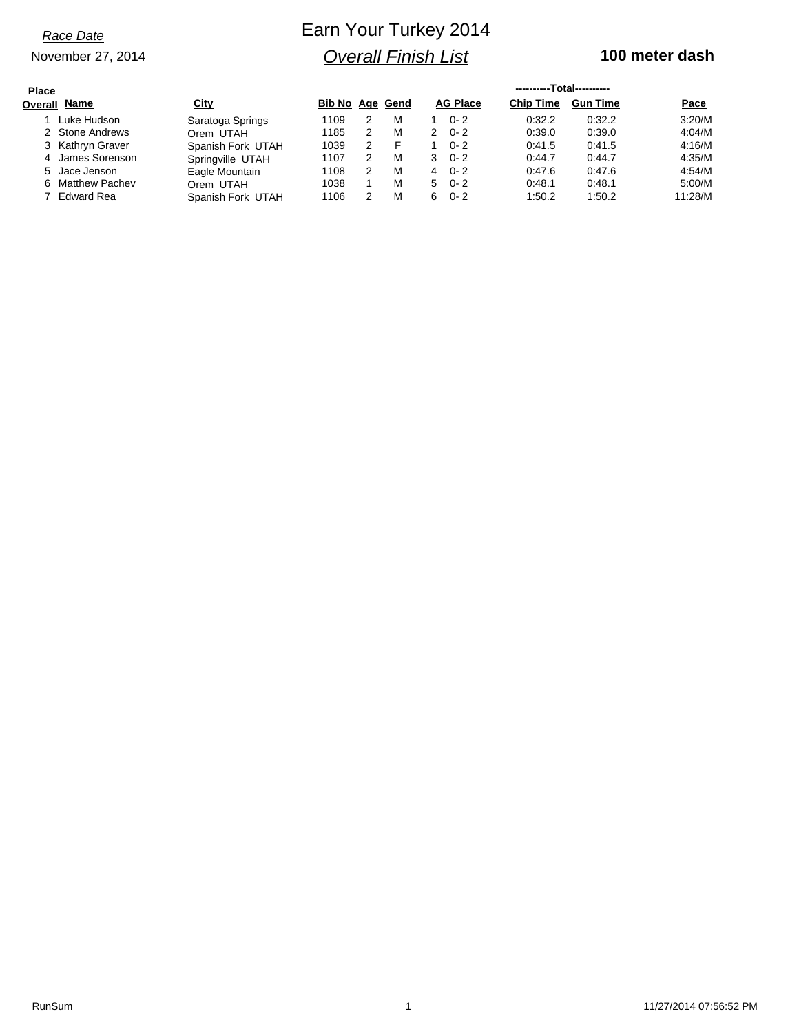### November 27, 2014

## Earn Your Turkey 2014 *Overall Finish List*

### **100 meter dash**

| <b>Place</b> |                  |                   |                 |               |   | ----------Total---------- |                 |                  |                 |             |  |  |  |
|--------------|------------------|-------------------|-----------------|---------------|---|---------------------------|-----------------|------------------|-----------------|-------------|--|--|--|
| Overall      | Name             | City              | Bib No Age Gend |               |   |                           | <b>AG Place</b> | <b>Chip Time</b> | <b>Gun Time</b> | <b>Pace</b> |  |  |  |
|              | Luke Hudson      | Saratoga Springs  | 1109            | 2             | м |                           | $0 - 2$         | 0.32.2           | 0.32.2          | 3:20/M      |  |  |  |
|              | 2 Stone Andrews  | Orem UTAH         | 1185            | 2             | м |                           | $2 \t 0-2$      | 0.39.0           | 0.39.0          | 4:04/M      |  |  |  |
|              | 3 Kathryn Graver | Spanish Fork UTAH | 1039            | 2             | F |                           | $0 - 2$         | 0.41.5           | 0:41.5          | 4:16/M      |  |  |  |
|              | 4 James Sorenson | Springville UTAH  | 1107            | 2             | м |                           | $3 \t 0-2$      | 0:44.7           | 0:44.7          | 4:35/M      |  |  |  |
|              | 5 Jace Jenson    | Eagle Mountain    | 1108            | 2             | м |                           | $40-2$          | 0.47.6           | 0.47.6          | 4:54/M      |  |  |  |
|              | 6 Matthew Pachev | Orem UTAH         | 1038            |               | м |                           | $5 \t 0-2$      | 0:48.1           | 0:48.1          | 5:00/M      |  |  |  |
|              | Edward Rea       | Spanish Fork UTAH | 1106            | $\mathcal{P}$ | м |                           | $60 - 2$        | 1:50.2           | 1:50.2          | 11:28/M     |  |  |  |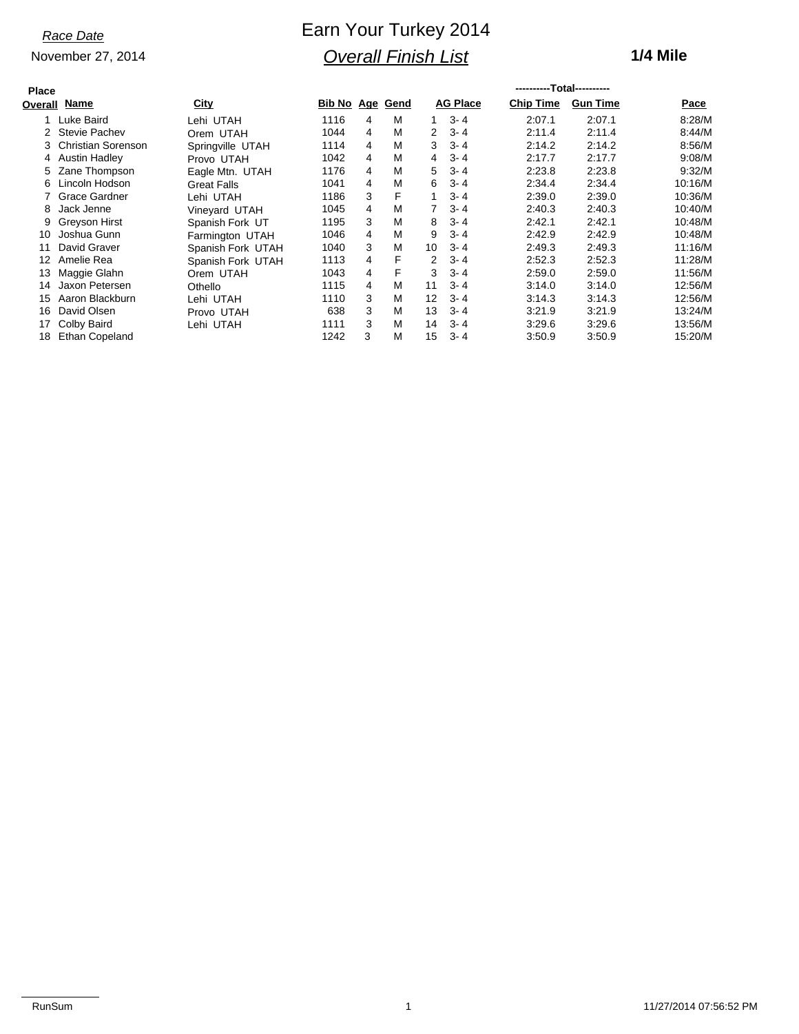November 27, 2014

## Earn Your Turkey 2014 *Overall Finish List*

### **1/4 Mile**

| Place   |                       |                    |                        |   |   |                |                 | ----------Total---------- |                 |         |  |  |  |
|---------|-----------------------|--------------------|------------------------|---|---|----------------|-----------------|---------------------------|-----------------|---------|--|--|--|
| Overall | Name                  | City               | <b>Bib No Age Gend</b> |   |   |                | <b>AG Place</b> | <b>Chip Time</b>          | <b>Gun Time</b> | Pace    |  |  |  |
|         | 1 Luke Baird          | Lehi UTAH          | 1116                   | 4 | M |                | $3 - 4$         | 2:07.1                    | 2:07.1          | 8:28/M  |  |  |  |
|         | <b>Stevie Pachev</b>  | Orem UTAH          | 1044                   | 4 | M | $\overline{2}$ | $3 - 4$         | 2:11.4                    | 2:11.4          | 8:44/M  |  |  |  |
|         | 3 Christian Sorenson  | Springville UTAH   | 1114                   | 4 | M | 3              | $3 - 4$         | 2:14.2                    | 2:14.2          | 8:56/M  |  |  |  |
|         | 4 Austin Hadley       | Provo UTAH         | 1042                   | 4 | M | 4              | $3 - 4$         | 2:17.7                    | 2:17.7          | 9:08/M  |  |  |  |
|         | 5 Zane Thompson       | Eagle Mtn. UTAH    | 1176                   | 4 | M | 5              | $3 - 4$         | 2.23.8                    | 2.23.8          | 9:32/M  |  |  |  |
| 6       | Lincoln Hodson        | <b>Great Falls</b> | 1041                   | 4 | M | 6              | $3 - 4$         | 2:34.4                    | 2:34.4          | 10:16/M |  |  |  |
|         | Grace Gardner         | Lehi UTAH          | 1186                   | 3 | F | 1              | $3 - 4$         | 2:39.0                    | 2:39.0          | 10:36/M |  |  |  |
| 8       | Jack Jenne            | Vineyard UTAH      | 1045                   | 4 | M | 7              | $3 - 4$         | 2:40.3                    | 2:40.3          | 10:40/M |  |  |  |
| 9       | Greyson Hirst         | Spanish Fork UT    | 1195                   | 3 | M | 8              | $3 - 4$         | 2:42.1                    | 2:42.1          | 10:48/M |  |  |  |
| 10      | Joshua Gunn           | Farmington UTAH    | 1046                   | 4 | M | 9              | $3 - 4$         | 2:42.9                    | 2:42.9          | 10:48/M |  |  |  |
| 11      | David Graver          | Spanish Fork UTAH  | 1040                   | 3 | M | 10             | $3 - 4$         | 2:49.3                    | 2:49.3          | 11:16/M |  |  |  |
| 12      | Amelie Rea            | Spanish Fork UTAH  | 1113                   | 4 | F | 2              | $3 - 4$         | 2:52.3                    | 2:52.3          | 11:28/M |  |  |  |
| 13      | Maggie Glahn          | Orem UTAH          | 1043                   | 4 | F | 3              | $3 - 4$         | 2:59.0                    | 2:59.0          | 11:56/M |  |  |  |
| 14      | Jaxon Petersen        | Othello            | 1115                   | 4 | M | 11             | $3 - 4$         | 3:14.0                    | 3.14.0          | 12:56/M |  |  |  |
| 15      | Aaron Blackburn       | Lehi UTAH          | 1110                   | 3 | M | 12             | $3 - 4$         | 3.14.3                    | 3.14.3          | 12:56/M |  |  |  |
| 16      | David Olsen           | Provo UTAH         | 638                    | 3 | M | 13             | $3 - 4$         | 3.21.9                    | 3.21.9          | 13:24/M |  |  |  |
| 17      | Colby Baird           | Lehi UTAH          | 1111                   | 3 | M | 14             | $3 - 4$         | 3.29.6                    | 3.29.6          | 13:56/M |  |  |  |
| 18      | <b>Ethan Copeland</b> |                    | 1242                   | 3 | M | 15             | $3 - 4$         | 3:50.9                    | 3:50.9          | 15:20/M |  |  |  |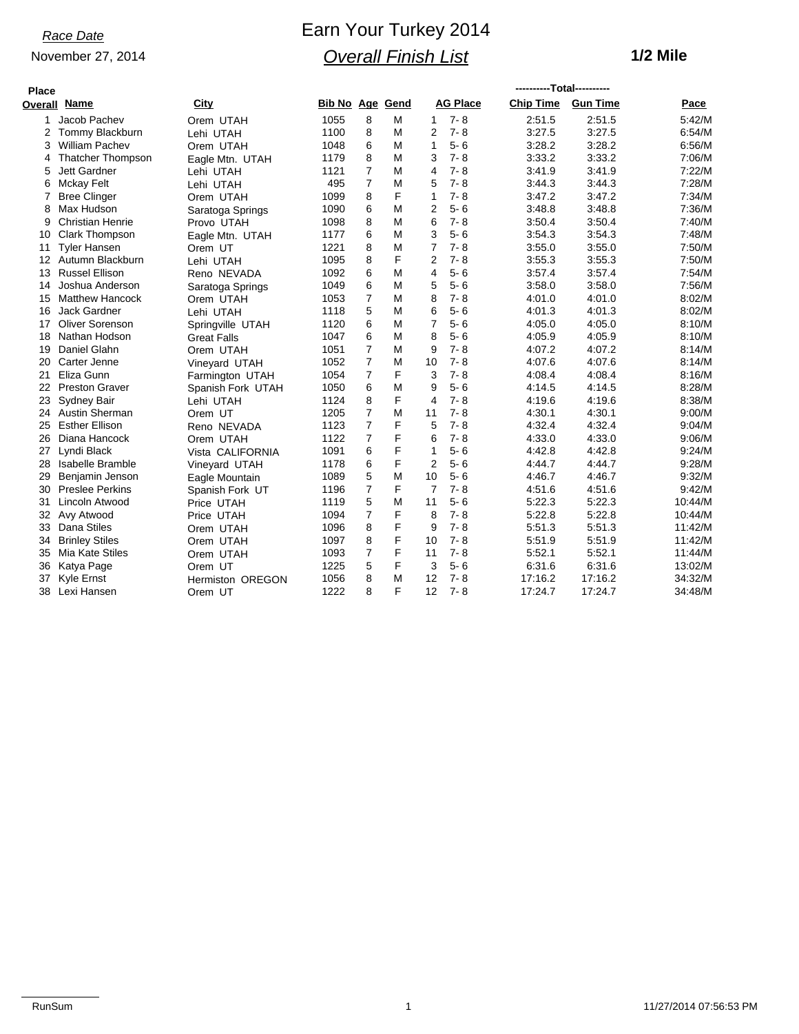November 27, 2014

## Earn Your Turkey 2014 *Overall Finish List*

### **1/2 Mile**

| <b>Place</b> |                          |                    |                        |                |   |                |                 | ----------Total---------- |                 |         |
|--------------|--------------------------|--------------------|------------------------|----------------|---|----------------|-----------------|---------------------------|-----------------|---------|
|              | Overall Name             | City               | <b>Bib No Age Gend</b> |                |   |                | <b>AG Place</b> | <b>Chip Time</b>          | <b>Gun Time</b> | Pace    |
| 1            | Jacob Pachev             | Orem UTAH          | 1055                   | 8              | M | 1              | $7 - 8$         | 2:51.5                    | 2:51.5          | 5:42/M  |
| 2            | Tommy Blackburn          | Lehi UTAH          | 1100                   | 8              | M | 2              | $7 - 8$         | 3:27.5                    | 3:27.5          | 6:54/M  |
| 3            | <b>William Pachev</b>    | Orem UTAH          | 1048                   | 6              | M | 1              | $5 - 6$         | 3:28.2                    | 3:28.2          | 6:56/M  |
| 4            | <b>Thatcher Thompson</b> | Eagle Mtn. UTAH    | 1179                   | 8              | М | 3              | $7 - 8$         | 3:33.2                    | 3:33.2          | 7:06/M  |
| 5            | Jett Gardner             | Lehi UTAH          | 1121                   | $\overline{7}$ | M | 4              | $7 - 8$         | 3:41.9                    | 3:41.9          | 7:22/M  |
| 6            | Mckay Felt               | Lehi UTAH          | 495                    | $\overline{7}$ | M | 5              | $7 - 8$         | 3:44.3                    | 3:44.3          | 7:28/M  |
| 7            | <b>Bree Clinger</b>      | Orem UTAH          | 1099                   | 8              | F | $\mathbf{1}$   | $7 - 8$         | 3:47.2                    | 3:47.2          | 7:34/M  |
| 8            | Max Hudson               | Saratoga Springs   | 1090                   | 6              | M | $\overline{2}$ | $5 - 6$         | 3:48.8                    | 3:48.8          | 7:36/M  |
| 9            | Christian Henrie         | Provo UTAH         | 1098                   | 8              | М | 6              | $7 - 8$         | 3:50.4                    | 3:50.4          | 7:40/M  |
| 10           | <b>Clark Thompson</b>    | Eagle Mtn. UTAH    | 1177                   | 6              | M | 3              | $5 - 6$         | 3:54.3                    | 3:54.3          | 7:48/M  |
| 11           | <b>Tyler Hansen</b>      | Orem UT            | 1221                   | 8              | M | $\overline{7}$ | $7 - 8$         | 3:55.0                    | 3:55.0          | 7:50/M  |
|              | 12 Autumn Blackburn      | Lehi UTAH          | 1095                   | 8              | F | 2              | $7 - 8$         | 3:55.3                    | 3:55.3          | 7:50/M  |
| 13           | <b>Russel Ellison</b>    | Reno NEVADA        | 1092                   | 6              | M | 4              | $5 - 6$         | 3:57.4                    | 3:57.4          | 7:54/M  |
| 14           | Joshua Anderson          | Saratoga Springs   | 1049                   | 6              | M | 5              | $5 - 6$         | 3:58.0                    | 3:58.0          | 7:56/M  |
| 15           | <b>Matthew Hancock</b>   | Orem UTAH          | 1053                   | 7              | М | 8              | $7 - 8$         | 4:01.0                    | 4:01.0          | 8:02/M  |
| 16           | Jack Gardner             | Lehi UTAH          | 1118                   | 5              | M | 6              | $5 - 6$         | 4:01.3                    | 4:01.3          | 8:02/M  |
| 17           | <b>Oliver Sorenson</b>   | Springville UTAH   | 1120                   | 6              | M | $\overline{7}$ | $5 - 6$         | 4:05.0                    | 4:05.0          | 8:10/M  |
| 18           | Nathan Hodson            | <b>Great Falls</b> | 1047                   | 6              | M | 8              | $5 - 6$         | 4:05.9                    | 4:05.9          | 8:10/M  |
| 19           | Daniel Glahn             | Orem UTAH          | 1051                   | $\overline{7}$ | M | 9              | $7 - 8$         | 4:07.2                    | 4:07.2          | 8:14/M  |
| 20           | Carter Jenne             | Vineyard UTAH      | 1052                   | $\overline{7}$ | M | 10             | $7 - 8$         | 4:07.6                    | 4:07.6          | 8:14/M  |
| 21           | Eliza Gunn               | Farmington UTAH    | 1054                   | $\overline{7}$ | F | 3              | $7 - 8$         | 4:08.4                    | 4:08.4          | 8:16/M  |
| 22           | <b>Preston Graver</b>    | Spanish Fork UTAH  | 1050                   | 6              | M | 9              | $5 - 6$         | 4:14.5                    | 4:14.5          | 8:28/M  |
| 23           | <b>Sydney Bair</b>       | Lehi UTAH          | 1124                   | 8              | F | $\overline{4}$ | $7 - 8$         | 4:19.6                    | 4:19.6          | 8:38/M  |
| 24           | <b>Austin Sherman</b>    | Orem UT            | 1205                   | $\overline{7}$ | M | 11             | $7 - 8$         | 4:30.1                    | 4:30.1          | 9:00/M  |
| 25           | <b>Esther Ellison</b>    | Reno NEVADA        | 1123                   | $\overline{7}$ | F | 5              | $7 - 8$         | 4:32.4                    | 4:32.4          | 9:04/M  |
| 26           | Diana Hancock            | Orem UTAH          | 1122                   | $\overline{7}$ | F | 6              | $7 - 8$         | 4:33.0                    | 4:33.0          | 9:06/M  |
| 27           | Lyndi Black              | Vista CALIFORNIA   | 1091                   | 6              | F | 1              | $5 - 6$         | 4:42.8                    | 4:42.8          | 9:24/M  |
| 28           | Isabelle Bramble         | Vineyard UTAH      | 1178                   | 6              | F | $\overline{2}$ | $5 - 6$         | 4:44.7                    | 4:44.7          | 9:28/M  |
| 29           | Benjamin Jenson          | Eagle Mountain     | 1089                   | 5              | M | 10             | $5 - 6$         | 4:46.7                    | 4:46.7          | 9:32/M  |
| 30           | <b>Preslee Perkins</b>   | Spanish Fork UT    | 1196                   | 7              | F | $\overline{7}$ | $7 - 8$         | 4:51.6                    | 4:51.6          | 9:42/M  |
| 31           | Lincoln Atwood           | Price UTAH         | 1119                   | 5              | M | 11             | $5 - 6$         | 5:22.3                    | 5:22.3          | 10:44/M |
| 32           | Avy Atwood               | Price UTAH         | 1094                   | $\overline{7}$ | F | 8              | $7 - 8$         | 5:22.8                    | 5:22.8          | 10:44/M |
| 33           | Dana Stiles              | Orem UTAH          | 1096                   | 8              | F | 9              | $7 - 8$         | 5:51.3                    | 5:51.3          | 11:42/M |
| 34           | <b>Brinley Stiles</b>    | Orem UTAH          | 1097                   | 8              | F | 10             | $7 - 8$         | 5:51.9                    | 5:51.9          | 11:42/M |
| 35           | Mia Kate Stiles          | Orem UTAH          | 1093                   | 7              | F | 11             | $7 - 8$         | 5:52.1                    | 5:52.1          | 11:44/M |
| 36           | Katya Page               | Orem UT            | 1225                   | 5              | F | 3              | $5 - 6$         | 6:31.6                    | 6:31.6          | 13:02/M |
| 37           | Kyle Ernst               | Hermiston OREGON   | 1056                   | 8              | M | 12             | $7 - 8$         | 17:16.2                   | 17:16.2         | 34:32/M |
| 38           | Lexi Hansen              | Orem UT            | 1222                   | 8              | F | 12             | $7 - 8$         | 17:24.7                   | 17:24.7         | 34:48/M |